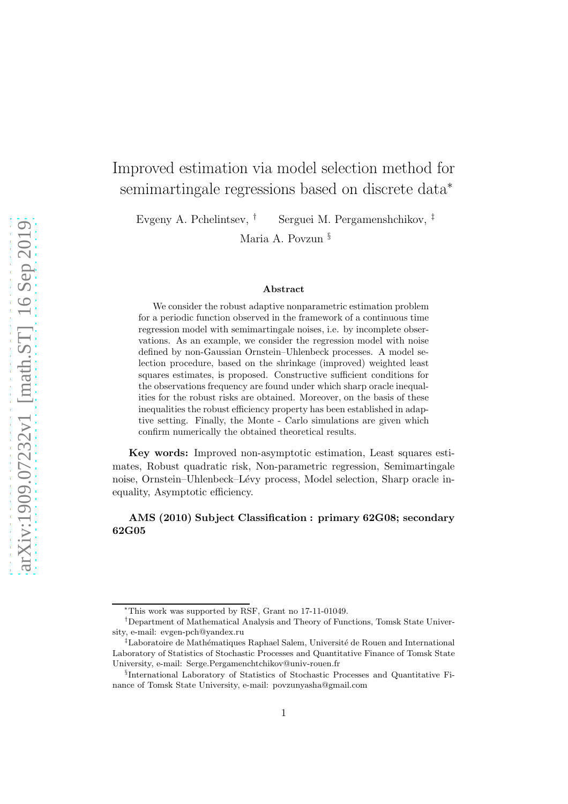# Improved estimation via model selection method for semimartingale regressions based on discrete data<sup>\*</sup>

Evgeny A. Pchelintsev, † Serguei M. Pergamenshchikov, ‡

Maria A. Povzun §

#### Abstract

We consider the robust adaptive nonparametric estimation problem for a periodic function observed in the framework of a continuous time regression model with semimartingale noises, i.e. by incomplete observations. As an example, we consider the regression model with noise defined by non-Gaussian Ornstein–Uhlenbeck processes. A model selection procedure, based on the shrinkage (improved) weighted least squares estimates, is proposed. Constructive sufficient conditions for the observations frequency are found under which sharp oracle inequalities for the robust risks are obtained. Moreover, on the basis of these inequalities the robust efficiency property has been established in adaptive setting. Finally, the Monte - Carlo simulations are given which confirm numerically the obtained theoretical results.

Key words: Improved non-asymptotic estimation, Least squares estimates, Robust quadratic risk, Non-parametric regression, Semimartingale noise, Ornstein–Uhlenbeck–Lévy process, Model selection, Sharp oracle inequality, Asymptotic efficiency.

## AMS (2010) Subject Classification : primary 62G08; secondary 62G05

<sup>∗</sup>This work was supported by RSF, Grant no 17-11-01049.

<sup>†</sup>Department of Mathematical Analysis and Theory of Functions, Tomsk State University, e-mail: evgen-pch@yandex.ru

<sup>&</sup>lt;sup>‡</sup>Laboratoire de Mathématiques Raphael Salem, Université de Rouen and International Laboratory of Statistics of Stochastic Processes and Quantitative Finance of Tomsk State University, e-mail: Serge.Pergamenchtchikov@univ-rouen.fr

<sup>§</sup> International Laboratory of Statistics of Stochastic Processes and Quantitative Finance of Tomsk State University, e-mail: povzunyasha@gmail.com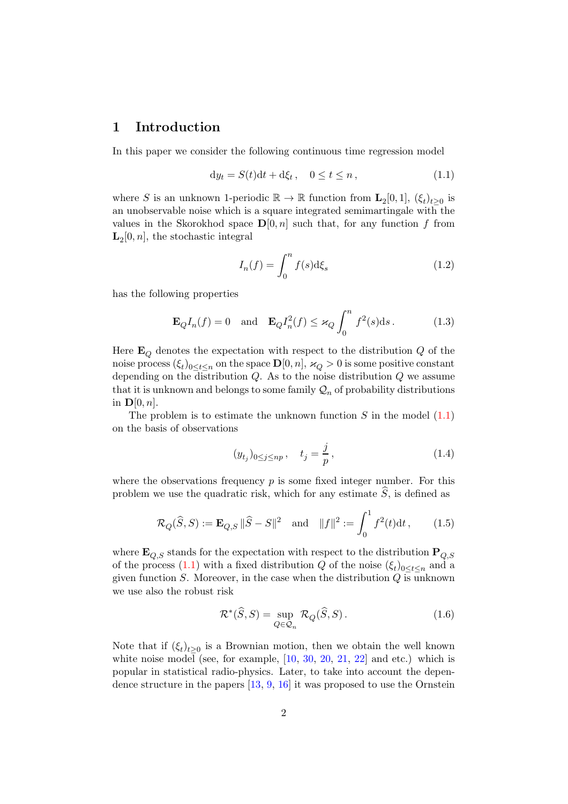# 1 Introduction

In this paper we consider the following continuous time regression model

$$
dy_t = S(t)dt + d\xi_t, \quad 0 \le t \le n,
$$
\n(1.1)

where S is an unknown 1-periodic  $\mathbb{R} \to \mathbb{R}$  function from  $\mathbf{L}_2[0,1]$ ,  $(\xi_t)_{t\geq 0}$  is an unobservable noise which is a square integrated semimartingale with the values in the Skorokhod space  $\mathbf{D}[0,n]$  such that, for any function f from  $\mathbf{L}_2[0,n]$ , the stochastic integral

$$
I_n(f) = \int_0^n f(s) \mathrm{d}\xi_s \tag{1.2}
$$

has the following properties

$$
\mathbf{E}_{Q}I_{n}(f) = 0 \quad \text{and} \quad \mathbf{E}_{Q}I_{n}^{2}(f) \leq \varkappa_{Q} \int_{0}^{n} f^{2}(s) \, \mathrm{d}s \,. \tag{1.3}
$$

Here  $\mathbf{E}_O$  denotes the expectation with respect to the distribution Q of the noise process  $(\xi_t)_{0 \le t \le n}$  on the space  $\mathbf{D}[0,n]$ ,  $\varkappa_Q > 0$  is some positive constant depending on the distribution  $Q$ . As to the noise distribution  $Q$  we assume that it is unknown and belongs to some family  $\mathcal{Q}_n$  of probability distributions in  $\mathbf{D}[0, n]$ .

The problem is to estimate the unknown function  $S$  in the model  $(1.1)$ on the basis of observations

$$
(y_{t_j})_{0 \le j \le np}, \quad t_j = \frac{j}{p}, \tag{1.4}
$$

where the observations frequency  $p$  is some fixed integer number. For this problem we use the quadratic risk, which for any estimate  $S$ , is defined as

$$
\mathcal{R}_Q(\widehat{S}, S) := \mathbf{E}_{Q,S} \|\widehat{S} - S\|^2 \quad \text{and} \quad \|f\|^2 := \int_0^1 f^2(t) \mathrm{d}t \,, \tag{1.5}
$$

where  $\mathbf{E}_{O,S}$  stands for the expectation with respect to the distribution  $\mathbf{P}_{O,S}$ of the process [\(1.1\)](#page-29-0) with a fixed distribution Q of the noise  $(\xi_t)_{0 \leq t \leq n}$  and a given function  $S$ . Moreover, in the case when the distribution  $Q$  is unknown we use also the robust risk

$$
\mathcal{R}^*(\widehat{S}, S) = \sup_{Q \in \mathcal{Q}_n} \mathcal{R}_Q(\widehat{S}, S). \tag{1.6}
$$

Note that if  $(\xi_t)_{t\geq0}$  is a Brownian motion, then we obtain the well known white noise model (see, for example,  $[10, 30, 20, 21, 22]$  $[10, 30, 20, 21, 22]$  $[10, 30, 20, 21, 22]$  $[10, 30, 20, 21, 22]$  $[10, 30, 20, 21, 22]$  $[10, 30, 20, 21, 22]$  $[10, 30, 20, 21, 22]$  $[10, 30, 20, 21, 22]$  $[10, 30, 20, 21, 22]$  and etc.) which is popular in statistical radio-physics. Later, to take into account the dependence structure in the papers [\[13](#page-36-3), [9](#page-35-1), [16](#page-36-4)] it was proposed to use the Ornstein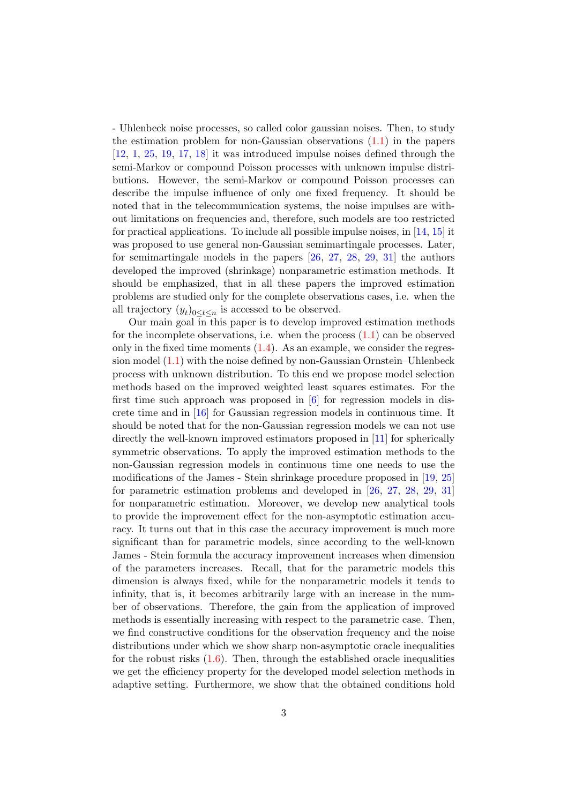- Uhlenbeck noise processes, so called color gaussian noises. Then, to study the estimation problem for non-Gaussian observations [\(1.1\)](#page-29-0) in the papers [\[12,](#page-35-2) [1](#page-35-3), [25](#page-37-1), [19,](#page-36-5) [17,](#page-36-6) [18](#page-36-7)] it was introduced impulse noises defined through the semi-Markov or compound Poisson processes with unknown impulse distributions. However, the semi-Markov or compound Poisson processes can describe the impulse influence of only one fixed frequency. It should be noted that in the telecommunication systems, the noise impulses are without limitations on frequencies and, therefore, such models are too restricted for practical applications. To include all possible impulse noises, in [\[14,](#page-36-8) [15](#page-36-9)] it was proposed to use general non-Gaussian semimartingale processes. Later, for semimartingale models in the papers [\[26](#page-37-2), [27](#page-37-3), [28](#page-37-4), [29](#page-37-5), [31](#page-37-6)] the authors developed the improved (shrinkage) nonparametric estimation methods. It should be emphasized, that in all these papers the improved estimation problems are studied only for the complete observations cases, i.e. when the all trajectory  $(y_t)_{0 \leq t \leq n}$  is accessed to be observed.

Our main goal in this paper is to develop improved estimation methods for the incomplete observations, i.e. when the process  $(1.1)$  can be observed only in the fixed time moments  $(1.4)$ . As an example, we consider the regression model [\(1.1\)](#page-29-0) with the noise defined by non-Gaussian Ornstein–Uhlenbeck process with unknown distribution. To this end we propose model selection methods based on the improved weighted least squares estimates. For the first time such approach was proposed in [\[6\]](#page-35-4) for regression models in discrete time and in [\[16](#page-36-4)] for Gaussian regression models in continuous time. It should be noted that for the non-Gaussian regression models we can not use directly the well-known improved estimators proposed in [\[11](#page-35-5)] for spherically symmetric observations. To apply the improved estimation methods to the non-Gaussian regression models in continuous time one needs to use the modifications of the James - Stein shrinkage procedure proposed in [\[19,](#page-36-5) [25](#page-37-1)] for parametric estimation problems and developed in [\[26,](#page-37-2) [27,](#page-37-3) [28](#page-37-4), [29](#page-37-5), [31](#page-37-6)] for nonparametric estimation. Moreover, we develop new analytical tools to provide the improvement effect for the non-asymptotic estimation accuracy. It turns out that in this case the accuracy improvement is much more significant than for parametric models, since according to the well-known James - Stein formula the accuracy improvement increases when dimension of the parameters increases. Recall, that for the parametric models this dimension is always fixed, while for the nonparametric models it tends to infinity, that is, it becomes arbitrarily large with an increase in the number of observations. Therefore, the gain from the application of improved methods is essentially increasing with respect to the parametric case. Then, we find constructive conditions for the observation frequency and the noise distributions under which we show sharp non-asymptotic oracle inequalities for the robust risks  $(1.6)$ . Then, through the established oracle inequalities we get the efficiency property for the developed model selection methods in adaptive setting. Furthermore, we show that the obtained conditions hold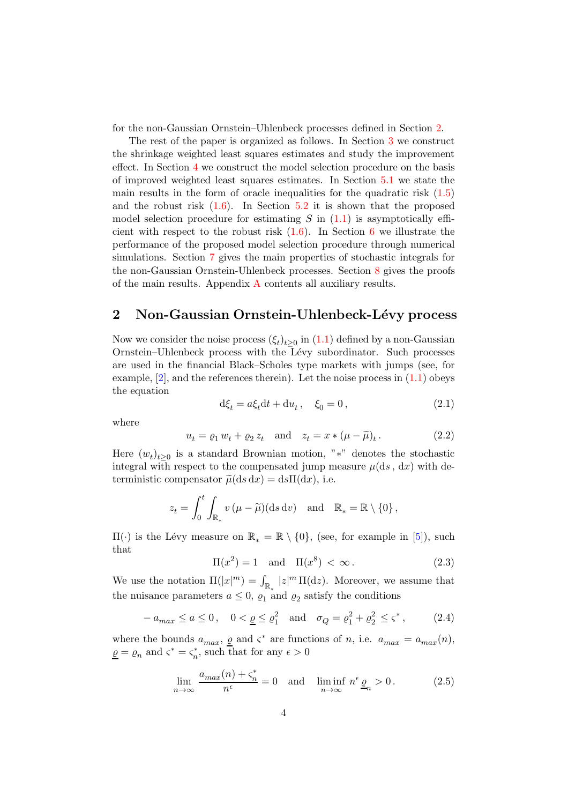for the non-Gaussian Ornstein–Uhlenbeck processes defined in Section [2.](#page-3-0)

The rest of the paper is organized as follows. In Section [3](#page-4-0) we construct the shrinkage weighted least squares estimates and study the improvement effect. In Section [4](#page-7-0) we construct the model selection procedure on the basis of improved weighted least squares estimates. In Section [5.1](#page-9-0) we state the main results in the form of oracle inequalities for the quadratic risk  $(1.5)$ and the robust risk  $(1.6)$ . In Section [5.2](#page-10-0) it is shown that the proposed model selection procedure for estimating S in  $(1.1)$  is asymptotically efficient with respect to the robust risk  $(1.6)$  $(1.6)$  $(1.6)$ . In Section 6 we illustrate the performance of the proposed model selection procedure through numerical simulations. Section [7](#page-13-0) gives the main properties of stochastic integrals for the non-Gaussian Ornstein-Uhlenbeck processes. Section [8](#page-22-0) gives the proofs of the main results. Appendix [A](#page-29-1) contents all auxiliary results.

# <span id="page-3-0"></span>2 Non-Gaussian Ornstein-Uhlenbeck-Lévy process

Now we consider the noise process  $(\xi_t)_{t\geq 0}$  in  $(1.1)$  defined by a non-Gaussian Ornstein–Uhlenbeck process with the Lévy subordinator. Such processes are used in the financial Black–Scholes type markets with jumps (see, for example,  $[2]$ , and the references therein). Let the noise process in  $(1.1)$  obeys the equation

<span id="page-3-1"></span>
$$
d\xi_t = a\xi_t dt + du_t, \quad \xi_0 = 0,
$$
\n(2.1)

where

$$
u_t = \varrho_1 w_t + \varrho_2 z_t \text{ and } z_t = x * (\mu - \widetilde{\mu})_t.
$$
 (2.2)

Here  $(w_t)_{t\geq 0}$  is a standard Brownian motion, "\*" denotes the stochastic integral with respect to the compensated jump measure  $\mu(ds, dx)$  with deterministic compensator  $\tilde{u}$ (ds dx) = ds $\Pi$ (dx), i.e.

$$
z_t = \int_0^t \int_{\mathbb{R}_*} v \, (\mu - \widetilde{\mu})(\mathrm{d} s \, \mathrm{d} v) \quad \text{and} \quad \mathbb{R}_* = \mathbb{R} \setminus \{0\} \, ,
$$

 $\Pi(\cdot)$  is the Lévy measure on  $\mathbb{R}_{*} = \mathbb{R} \setminus \{0\}$ , (see, for example in [\[5\]](#page-35-7)), such that

<span id="page-3-4"></span>
$$
\Pi(x^2) = 1 \quad \text{and} \quad \Pi(x^8) < \infty \,. \tag{2.3}
$$

We use the notation  $\Pi(|x|^m) = \int_{\mathbb{R}_*} |z|^m \, \Pi(\mathrm{d}z)$ . Moreover, we assume that the nuisance parameters  $a \leq 0$ ,  $\varrho_1$  and  $\varrho_2$  satisfy the conditions

<span id="page-3-2"></span>
$$
- a_{max} \le a \le 0, \quad 0 < \underline{\varrho} \le \varrho_1^2 \quad \text{and} \quad \sigma_Q = \varrho_1^2 + \varrho_2^2 \le \varsigma^*, \tag{2.4}
$$

where the bounds  $a_{max}$ ,  $\underline{\varrho}$  and  $\varsigma^*$  are functions of n, i.e.  $a_{max} = a_{max}(n)$ ,  $\underline{\varrho} = \varrho_n$  and  $\varsigma^* = \varsigma_n^*$ , such that for any  $\epsilon > 0$ 

<span id="page-3-3"></span>
$$
\lim_{n \to \infty} \frac{a_{\max}(n) + \varsigma_n^*}{n^{\epsilon}} = 0 \quad \text{and} \quad \liminf_{n \to \infty} n^{\epsilon} \underline{\varrho}_n > 0. \tag{2.5}
$$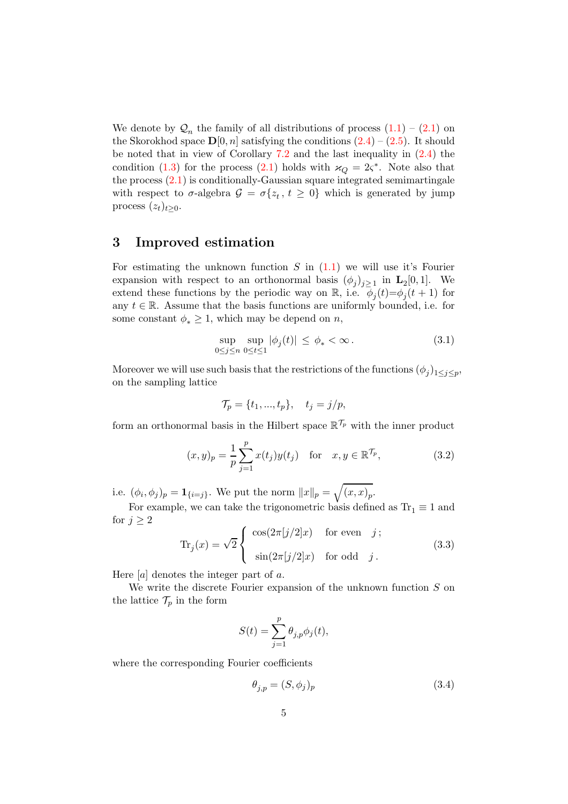We denote by  $\mathcal{Q}_n$  the family of all distributions of process  $(1.1) - (2.1)$  $(1.1) - (2.1)$  on the Skorokhod space  $\mathbf{D}[0,n]$  satisfying the conditions  $(2.4) - (2.5)$  $(2.4) - (2.5)$ . It should be noted that in view of Corollary [7.2](#page-14-0) and the last inequality in [\(2.4\)](#page-3-2) the condition [\(1.3\)](#page-30-1) for the process [\(2.1\)](#page-3-1) holds with  $\varkappa_Q = 2\varsigma^*$ . Note also that the process [\(2.1\)](#page-3-1) is conditionally-Gaussian square integrated semimartingale with respect to  $\sigma$ -algebra  $\mathcal{G} = \sigma\{z_t, t \geq 0\}$  which is generated by jump process  $(z_t)_{t>0}$ .

# <span id="page-4-0"></span>3 Improved estimation

For estimating the unknown function  $S$  in  $(1.1)$  we will use it's Fourier expansion with respect to an orthonormal basis  $(\phi_j)_{j\geq 1}$  in  $\mathbf{L}_2[0,1]$ . We extend these functions by the periodic way on  $\mathbb{R}$ , i.e.  $\phi_j(t) = \phi_j(t+1)$  for any  $t \in \mathbb{R}$ . Assume that the basis functions are uniformly bounded, i.e. for some constant  $\phi_* \geq 1$ , which may be depend on *n*,

$$
\sup_{0 \le j \le n} \sup_{0 \le t \le 1} |\phi_j(t)| \le \phi_* < \infty. \tag{3.1}
$$

Moreover we will use such basis that the restrictions of the functions  $(\phi_j)_{1 \leq j \leq p}$ , on the sampling lattice

$$
\mathcal{T}_p = \{t_1, ..., t_p\}, \quad t_j = j/p,
$$

form an orthonormal basis in the Hilbert space  $\mathbb{R}^{\mathcal{T}_{p}}$  with the inner product

$$
(x,y)_p = \frac{1}{p} \sum_{j=1}^p x(t_j) y(t_j) \text{ for } x, y \in \mathbb{R}^{\mathcal{T}_p},
$$
 (3.2)

i.e.  $(\phi_i, \phi_j)_p = \mathbf{1}_{\{i=j\}}$ . We put the norm  $||x||_p = \sqrt{(x, x)_p}$ .

For example, we can take the trigonometric basis defined as  $Tr_1 \equiv 1$  and for  $j \geq 2$ 

<span id="page-4-1"></span>
$$
\text{Tr}_j(x) = \sqrt{2} \begin{cases} \cos(2\pi[j/2]x) & \text{for even} \quad j; \\ \sin(2\pi[j/2]x) & \text{for odd} \quad j. \end{cases}
$$
(3.3)

Here  $[a]$  denotes the integer part of a.

We write the discrete Fourier expansion of the unknown function  $S$  on the lattice  $\mathcal{T}_p$  in the form

$$
S(t) = \sum_{j=1}^{p} \theta_{j,p} \phi_j(t),
$$

where the corresponding Fourier coefficients

$$
\theta_{j,p} = (S, \phi_j)_p \tag{3.4}
$$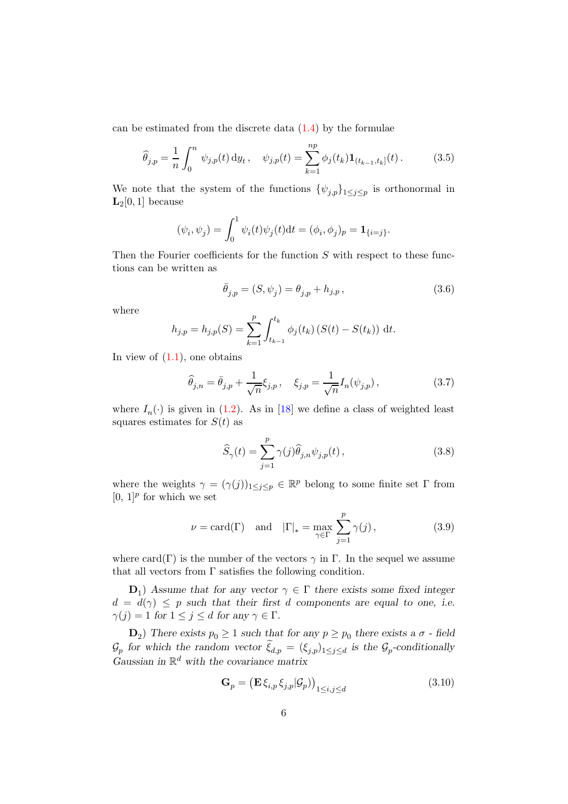can be estimated from the discrete data  $(1.4)$  by the formulae

$$
\widehat{\theta}_{j,p} = \frac{1}{n} \int_0^n \psi_{j,p}(t) \, dy_t, \quad \psi_{j,p}(t) = \sum_{k=1}^{np} \phi_j(t_k) \mathbf{1}_{(t_{k-1}, t_k]}(t). \tag{3.5}
$$

We note that the system of the functions  $\{\psi_{j,p}\}_{1\leq j\leq p}$  is orthonormal in  $L_2[0,1]$  because

$$
(\psi_i, \psi_j) = \int_0^1 \psi_i(t)\psi_j(t)dt = (\phi_i, \phi_j)_p = \mathbf{1}_{\{i=j\}}
$$

Then the Fourier coefficients for the function  $S$  with respect to these functions can be written as

$$
\bar{\theta}_{j,p} = (S, \psi_j) = \theta_{j,p} + h_{j,p}, \qquad (3.6)
$$

.

where

$$
h_{j,p} = h_{j,p}(S) = \sum_{k=1}^{p} \int_{t_{k-1}}^{t_k} \phi_j(t_k) (S(t) - S(t_k)) dt.
$$

In view of  $(1.1)$ , one obtains

<span id="page-5-0"></span>
$$
\widehat{\theta}_{j,n} = \bar{\theta}_{j,p} + \frac{1}{\sqrt{n}} \xi_{j,p}, \quad \xi_{j,p} = \frac{1}{\sqrt{n}} I_n(\psi_{j,p}), \tag{3.7}
$$

where  $I_n(\cdot)$  is given in [\(1.2\)](#page-29-2). As in [\[18\]](#page-36-7) we define a class of weighted least squares estimates for  $S(t)$  as

<span id="page-5-1"></span>
$$
\widehat{S}_{\gamma}(t) = \sum_{j=1}^{p} \gamma(j) \widehat{\theta}_{j,n} \psi_{j,p}(t) ,
$$
\n(3.8)

where the weights  $\gamma = (\gamma(j))_{1 \leq j \leq p} \in \mathbb{R}^p$  belong to some finite set  $\Gamma$  from  $[0, 1]$ <sup>p</sup> for which we set

$$
\nu = \text{card}(\Gamma) \quad \text{and} \quad |\Gamma|_* = \max_{\gamma \in \Gamma} \sum_{j=1}^p \gamma(j), \tag{3.9}
$$

where card(Γ) is the number of the vectors  $\gamma$  in Γ. In the sequel we assume that all vectors from Γ satisfies the following condition.

 $\mathbf{D}_1$ ) *Assume that for any vector*  $\gamma \in \Gamma$  *there exists some fixed integer*  $d = d(\gamma) \leq p$  such that their first d components are equal to one, i.e.  $\gamma(j) = 1$  *for*  $1 \leq j \leq d$  *for any*  $\gamma \in \Gamma$ *.* 

 $\mathbf{D}_2$ ) There exists  $p_0 \geq 1$  such that for any  $p \geq p_0$  there exists a  $\sigma$  - field  $\mathcal{G}_p$  for which the random vector  $\xi_{d,p} = (\xi_{j,p})_{1 \leq j \leq d}$  is the  $\mathcal{G}_p$ -conditionally *Gaussian in* R <sup>d</sup> *with the covariance matrix*

$$
\mathbf{G}_p = \left( \mathbf{E} \, \xi_{i,p} \, \xi_{j,p} | \mathcal{G}_p \right) \Big|_{1 \le i,j \le d} \tag{3.10}
$$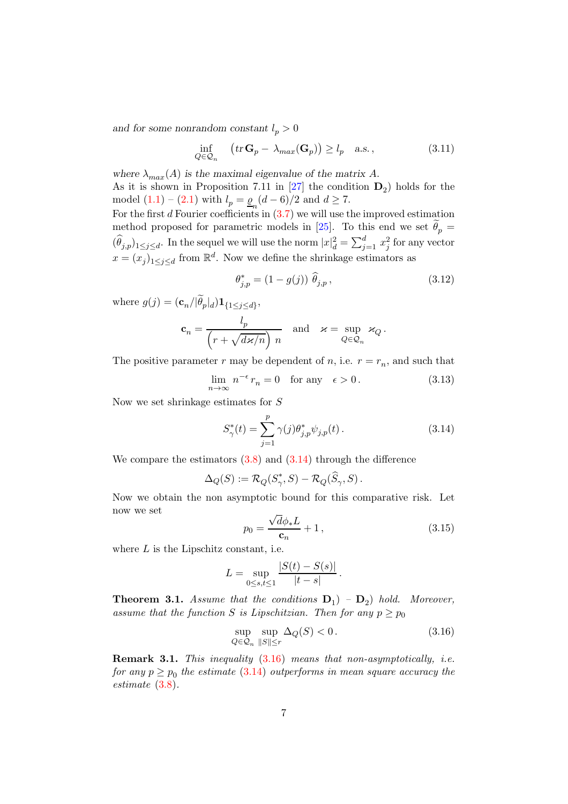and for some nonrandom constant  $l_p > 0$ 

$$
\inf_{Q \in \mathcal{Q}_n} \quad \left( tr \, \mathbf{G}_p - \lambda_{max}(\mathbf{G}_p) \right) \ge l_p \quad \text{a.s.} \,, \tag{3.11}
$$

where  $\lambda_{max}(A)$  *is the maximal eigenvalue of the matrix* A. As it is shown in Proposition 7.11 in  $[27]$  the condition  $D_2$ ) holds for the model  $(1.1) - (2.1)$  $(1.1) - (2.1)$  with  $l_p = \underline{\varrho}_n (d - 6)/2$  and  $d \ge 7$ . For the first d Fourier coefficients in  $(3.7)$  we will use the improved estimation

method proposed for parametric models in [\[25](#page-37-1)]. To this end we set  $\theta_p =$  $(\widehat{\theta}_{j,p})_{1\leq j\leq d}$ . In the sequel we will use the norm  $|x|_d^2 = \sum_{j=1}^d x_j^2$  for any vector  $x = (x_j)_{1 \leq j \leq d}$  from  $\mathbb{R}^d$ . Now we define the shrinkage estimators as

$$
\theta_{j,p}^* = (1 - g(j)) \widehat{\theta}_{j,p}, \qquad (3.12)
$$

where  $g(j) = (\mathbf{c}_n/|\theta_p|_d) \mathbf{1}_{\{1 \leq j \leq d\}},$ 

$$
\mathbf{c}_n = \frac{l_p}{\left(r + \sqrt{d\mathbf{x}/n}\right) n} \quad \text{and} \quad \mathbf{x} = \sup_{Q \in \mathcal{Q}_n} \mathbf{x}_Q.
$$

The positive parameter r may be dependent of n, i.e.  $r = r_n$ , and such that

$$
\lim_{n \to \infty} n^{-\epsilon} r_n = 0 \quad \text{for any} \quad \epsilon > 0. \tag{3.13}
$$

Now we set shrinkage estimates for S

<span id="page-6-0"></span>
$$
S_{\gamma}^*(t) = \sum_{j=1}^p \gamma(j) \theta_{j,p}^* \psi_{j,p}(t).
$$
 (3.14)

We compare the estimators  $(3.8)$  and  $(3.14)$  through the difference

$$
\Delta_Q(S) := \mathcal{R}_Q(S^*_{\gamma}, S) - \mathcal{R}_Q(\widehat{S}_{\gamma}, S).
$$

Now we obtain the non asymptotic bound for this comparative risk. Let now we set √

<span id="page-6-3"></span>
$$
p_0 = \frac{\sqrt{d\phi_* L}}{c_n} + 1,\tag{3.15}
$$

where  $L$  is the Lipschitz constant, i.e.

$$
L = \sup_{0 \le s, t \le 1} \frac{|S(t) - S(s)|}{|t - s|}.
$$

<span id="page-6-2"></span>**Theorem 3.1.** Assume that the conditions  $D_1$   $-D_2$  hold. Moreover, assume that the function S is Lipschitzian. Then for any  $p \geq p_0$ 

<span id="page-6-1"></span>
$$
\sup_{Q \in \mathcal{Q}_n} \sup_{\|S\| \le r} \Delta_Q(S) < 0. \tag{3.16}
$$

Remark 3.1. This inequality  $(3.16)$  means that non-asymptotically, i.e. for any  $p \geq p_0$  the estimate  $(3.14)$  outperforms in mean square accuracy the estimate [\(3.8\)](#page-5-1).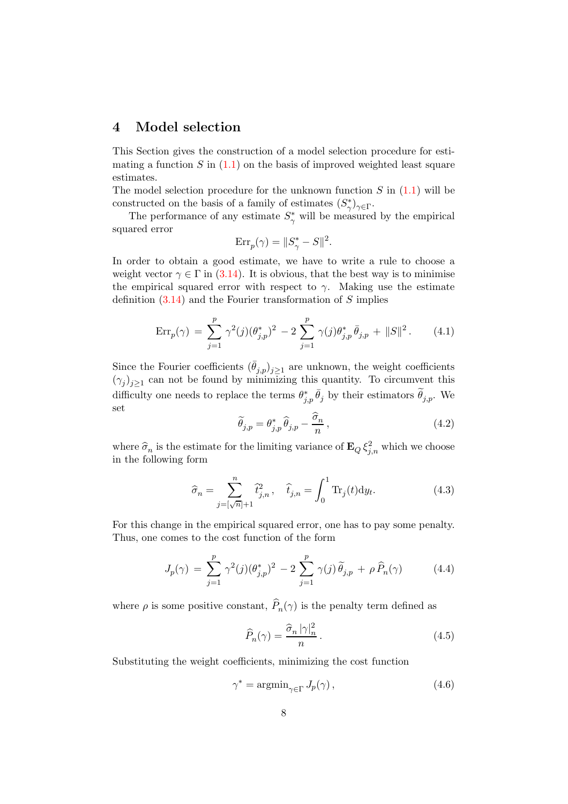# <span id="page-7-0"></span>4 Model selection

This Section gives the construction of a model selection procedure for estimating a function  $S$  in  $(1.1)$  on the basis of improved weighted least square estimates.

The model selection procedure for the unknown function  $S$  in  $(1.1)$  will be constructed on the basis of a family of estimates  $(S^*_{\gamma})_{\gamma \in \Gamma}$ .

The performance of any estimate  $S^*_{\gamma}$  will be measured by the empirical squared error

$$
\text{Err}_p(\gamma) = \|S^*_{\gamma} - S\|^2.
$$

In order to obtain a good estimate, we have to write a rule to choose a weight vector  $\gamma \in \Gamma$  in [\(3.14\)](#page-6-0). It is obvious, that the best way is to minimise the empirical squared error with respect to  $\gamma$ . Making use the estimate definition  $(3.14)$  and the Fourier transformation of S implies

<span id="page-7-3"></span>
$$
\text{Err}_p(\gamma) = \sum_{j=1}^p \gamma^2(j) (\theta_{j,p}^*)^2 - 2 \sum_{j=1}^p \gamma(j) \theta_{j,p}^* \bar{\theta}_{j,p} + ||S||^2. \tag{4.1}
$$

Since the Fourier coefficients  $(\bar{\theta}_{j,p})_{j\geq 1}$  are unknown, the weight coefficients  $(\gamma_j)_{j\geq 1}$  can not be found by minimizing this quantity. To circumvent this difficulty one needs to replace the terms  $\theta_{j,p}^*$ ,  $\bar{\theta}_j$  by their estimators  $\tilde{\theta}_{j,p}$ . We set

$$
\widetilde{\theta}_{j,p} = \theta_{j,p}^* \widehat{\theta}_{j,p} - \frac{\widehat{\sigma}_n}{n},\tag{4.2}
$$

where  $\hat{\sigma}_n$  is the estimate for the limiting variance of  $\mathbf{E}_Q \xi_{j,n}^2$  which we choose in the following form

<span id="page-7-2"></span>
$$
\hat{\sigma}_n = \sum_{j=[\sqrt{n}]+1}^n \hat{t}_{j,n}^2, \quad \hat{t}_{j,n} = \int_0^1 \text{Tr}_j(t) \, \mathrm{d}y_t. \tag{4.3}
$$

For this change in the empirical squared error, one has to pay some penalty. Thus, one comes to the cost function of the form

<span id="page-7-4"></span>
$$
J_p(\gamma) = \sum_{j=1}^p \gamma^2(j) (\theta_{j,p}^*)^2 - 2 \sum_{j=1}^p \gamma(j) \tilde{\theta}_{j,p} + \rho \hat{P}_n(\gamma) \tag{4.4}
$$

where  $\rho$  is some positive constant,  $P_n(\gamma)$  is the penalty term defined as

<span id="page-7-5"></span>
$$
\widehat{P}_n(\gamma) = \frac{\widehat{\sigma}_n \, |\gamma|_n^2}{n} \,. \tag{4.5}
$$

Substituting the weight coefficients, minimizing the cost function

<span id="page-7-1"></span>
$$
\gamma^* = \operatorname{argmin}_{\gamma \in \Gamma} J_p(\gamma), \qquad (4.6)
$$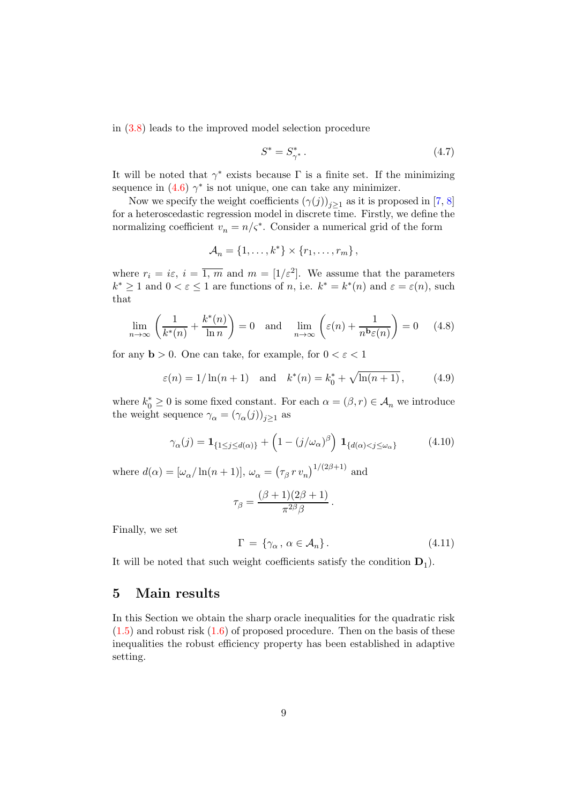in [\(3.8\)](#page-5-1) leads to the improved model selection procedure

<span id="page-8-0"></span>
$$
S^* = S^*_{\gamma^*} \,. \tag{4.7}
$$

It will be noted that  $\gamma^*$  exists because  $\Gamma$  is a finite set. If the minimizing sequence in  $(4.6)$   $\gamma^*$  is not unique, one can take any minimizer.

Now we specify the weight coefficients  $(\gamma(j))_{j\geq 1}$  as it is proposed in [\[7](#page-35-8), [8](#page-35-9)] for a heteroscedastic regression model in discrete time. Firstly, we define the normalizing coefficient  $v_n = n/\varsigma^*$ . Consider a numerical grid of the form

$$
\mathcal{A}_n = \{1, \ldots, k^*\} \times \{r_1, \ldots, r_m\},\
$$

where  $r_i = i\varepsilon$ ,  $i = \overline{1, m}$  and  $m = \left[1/\varepsilon^2\right]$ . We assume that the parameters  $k^* \geq 1$  and  $0 < \varepsilon \leq 1$  are functions of *n*, i.e.  $k^* = k^*(n)$  and  $\varepsilon = \varepsilon(n)$ , such that

$$
\lim_{n \to \infty} \left( \frac{1}{k^*(n)} + \frac{k^*(n)}{\ln n} \right) = 0 \quad \text{and} \quad \lim_{n \to \infty} \left( \varepsilon(n) + \frac{1}{n^{\mathbf{b}} \varepsilon(n)} \right) = 0 \quad (4.8)
$$

for any  $\mathbf{b} > 0$ . One can take, for example, for  $0 < \varepsilon < 1$ 

$$
\varepsilon(n) = 1/\ln(n+1)
$$
 and  $k^*(n) = k_0^* + \sqrt{\ln(n+1)}$ , (4.9)

where  $k_0^* \geq 0$  is some fixed constant. For each  $\alpha = (\beta, r) \in \mathcal{A}_n$  we introduce the weight sequence  $\gamma_{\alpha} = (\gamma_{\alpha}(j))_{j \geq 1}$  as

<span id="page-8-2"></span>
$$
\gamma_{\alpha}(j) = \mathbf{1}_{\{1 \le j \le d(\alpha)\}} + \left(1 - (j/\omega_{\alpha})^{\beta}\right) \mathbf{1}_{\{d(\alpha) < j \le \omega_{\alpha}\}} \tag{4.10}
$$

where  $d(\alpha) = [\omega_{\alpha}/\ln(n+1)], \omega_{\alpha} = (\tau_{\beta} r v_n)^{1/(2\beta+1)}$  and

$$
\tau_{\beta} = \frac{(\beta + 1)(2\beta + 1)}{\pi^{2\beta}\beta}.
$$

Finally, we set

<span id="page-8-1"></span>
$$
\Gamma = \{ \gamma_{\alpha}, \, \alpha \in \mathcal{A}_n \}. \tag{4.11}
$$

It will be noted that such weight coefficients satisfy the condition  $D_1$ ).

## 5 Main results

In this Section we obtain the sharp oracle inequalities for the quadratic risk  $(1.5)$  and robust risk  $(1.6)$  of proposed procedure. Then on the basis of these inequalities the robust efficiency property has been established in adaptive setting.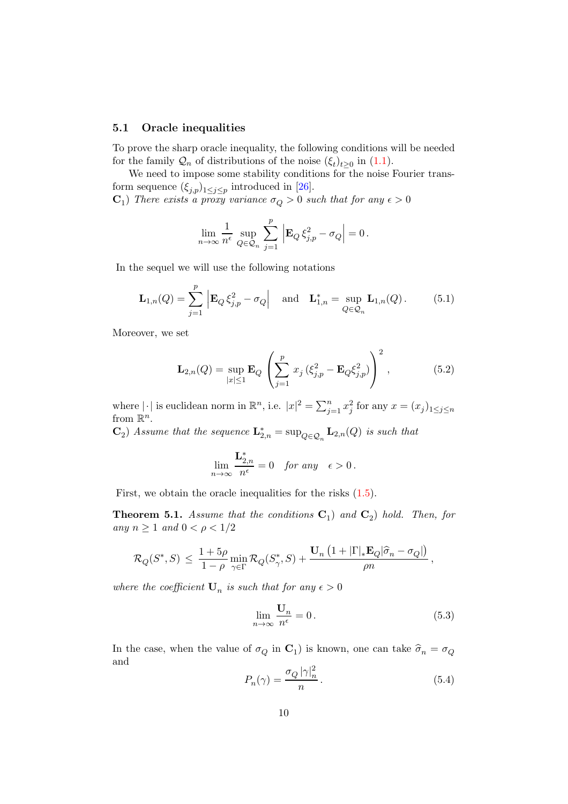#### <span id="page-9-0"></span>5.1 Oracle inequalities

To prove the sharp oracle inequality, the following conditions will be needed for the family  $\mathcal{Q}_n$  of distributions of the noise  $(\xi_t)_{t\geq 0}$  in  $(1.1)$ .

We need to impose some stability conditions for the noise Fourier transform sequence  $(\xi_{j,p})_{1 \leq j \leq p}$  introduced in [\[26](#page-37-2)].

 $\mathbf{C}_1$ ) There exists a proxy variance  $\sigma_Q > 0$  such that for any  $\epsilon > 0$ 

$$
\lim_{n\to\infty}\frac{1}{n^{\epsilon}}\sup_{Q\in\mathcal{Q}_n}\,\sum_{j=1}^p\,\Big|\mathbf{E}_Q\,\xi_{j,p}^2-\sigma_Q\Big|=0\,.
$$

In the sequel we will use the following notations

<span id="page-9-1"></span>
$$
\mathbf{L}_{1,n}(Q) = \sum_{j=1}^p \left| \mathbf{E}_Q \xi_{j,p}^2 - \sigma_Q \right| \quad \text{and} \quad \mathbf{L}_{1,n}^* = \sup_{Q \in \mathcal{Q}_n} \mathbf{L}_{1,n}(Q). \tag{5.1}
$$

Moreover, we set

<span id="page-9-2"></span>
$$
\mathbf{L}_{2,n}(Q) = \sup_{|x| \le 1} \mathbf{E}_Q \left( \sum_{j=1}^p x_j \left( \xi_{j,p}^2 - \mathbf{E}_Q \xi_{j,p}^2 \right) \right)^2, \qquad (5.2)
$$

where  $|\cdot|$  is euclidean norm in  $\mathbb{R}^n$ , i.e.  $|x|^2 = \sum_{j=1}^n x_j^2$  for any  $x = (x_j)_{1 \le j \le n}$ from  $\mathbb{R}^n$ .

 $\mathbf{C}_2$ ) Assume that the sequence  $\mathbf{L}_{2,n}^* = \sup_{Q \in \mathcal{Q}_n} \mathbf{L}_{2,n}(Q)$  is such that

$$
\lim_{n \to \infty} \frac{\mathbf{L}_{2,n}^*}{n^{\epsilon}} = 0 \quad \text{for any} \quad \epsilon > 0 \,.
$$

First, we obtain the oracle inequalities for the risks [\(1.5\)](#page-31-0).

<span id="page-9-4"></span>**Theorem 5.1.** Assume that the conditions  $C_1$  and  $C_2$  hold. Then, for any  $n \geq 1$  and  $0 < \rho < 1/2$ 

$$
\mathcal{R}_Q(S^*,S) \, \leq \, \frac{1+5\rho}{1-\rho} \min_{\gamma \in \Gamma} \mathcal{R}_Q(S_{\gamma}^*,S) + \frac{\mathbf{U}_n\left(1+|\Gamma|_* \mathbf{E}_Q|\widehat{\sigma}_n-\sigma_Q|\right)}{\rho n}\,,
$$

where the coefficient  $\mathbf{U}_n$  is such that for any  $\epsilon > 0$ 

<span id="page-9-3"></span>
$$
\lim_{n \to \infty} \frac{\mathbf{U}_n}{n^{\epsilon}} = 0. \tag{5.3}
$$

In the case, when the value of  $\sigma_Q$  in  $\mathbf{C}_1$ ) is known, one can take  $\hat{\sigma}_n = \sigma_Q$ and

$$
P_n(\gamma) = \frac{\sigma_Q |\gamma|_n^2}{n} \,. \tag{5.4}
$$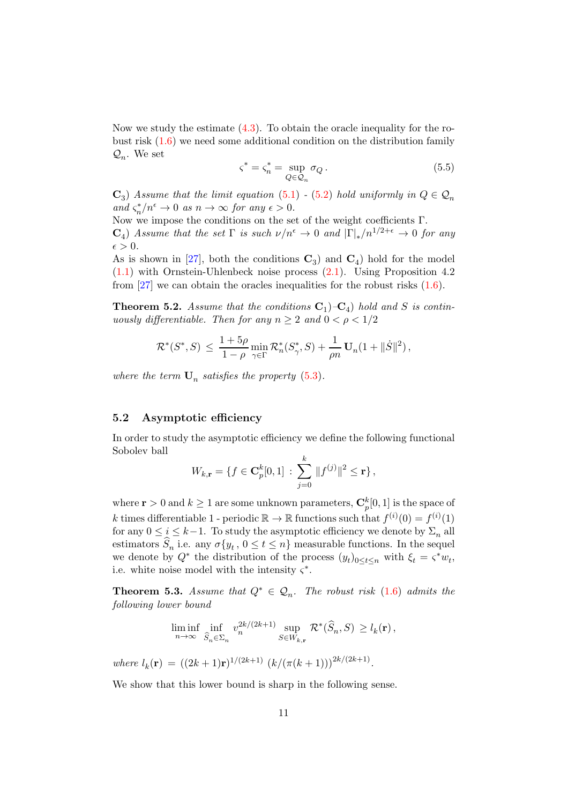Now we study the estimate [\(4.3\)](#page-7-2). To obtain the oracle inequality for the robust risk [\(1.6\)](#page-32-0) we need some additional condition on the distribution family  $\mathcal{Q}_n$ . We set

$$
\varsigma^* = \varsigma_n^* = \sup_{Q \in \mathcal{Q}_n} \sigma_Q \,. \tag{5.5}
$$

 $\mathbf{C}_3$ ) Assume that the limit equation [\(5.1\)](#page-9-1) - [\(5.2\)](#page-9-2) hold uniformly in  $Q \in \mathcal{Q}_n$ and  $\varsigma_n^*/n^{\epsilon} \to 0$  as  $n \to \infty$  for any  $\epsilon > 0$ .

Now we impose the conditions on the set of the weight coefficients Γ.  $\mathbf{C}_4$ ) Assume that the set  $\Gamma$  is such  $\nu/n^{\epsilon} \to 0$  and  $|\Gamma|_*/n^{1/2+\epsilon} \to 0$  for any  $\epsilon > 0$ .

As is shown in [\[27](#page-37-3)], both the conditions  $\mathbb{C}_3$  and  $\mathbb{C}_4$  hold for the model [\(1.1\)](#page-29-0) with Ornstein-Uhlenbeck noise process [\(2.1\)](#page-3-1). Using Proposition 4.2 from  $[27]$  we can obtain the oracles inequalities for the robust risks  $(1.6)$ .

<span id="page-10-2"></span>**Theorem 5.2.** Assume that the conditions  $C_1$ )- $C_4$ ) hold and S is continuously differentiable. Then for any  $n \geq 2$  and  $0 < \rho < 1/2$ 

$$
\mathcal{R}^*(S^*, S) \, \leq \, \frac{1+5\rho}{1-\rho} \min_{\gamma \in \Gamma} \mathcal{R}^*_n(S^*_{\gamma}, S) + \frac{1}{\rho n} \, \mathbf{U}_n(1 + \|\dot{S}\|^2) \,,
$$

where the term  $\mathbf{U}_n$  satisfies the property [\(5.3\)](#page-9-3).

#### <span id="page-10-0"></span>5.2 Asymptotic efficiency

In order to study the asymptotic efficiency we define the following functional Sobolev ball

$$
W_{k,\mathbf{r}} = \{ f \in \mathbf{C}_p^k[0,1] : \sum_{j=0}^k ||f^{(j)}||^2 \leq \mathbf{r} \},\
$$

where  $\mathbf{r} > 0$  and  $k \geq 1$  are some unknown parameters,  $\mathbf{C}_{p}^{k}[0,1]$  is the space of k times differentiable 1 - periodic  $\mathbb{R} \to \mathbb{R}$  functions such that  $f^{(i)}(0) = f^{(i)}(1)$ for any  $0 \leq i \leq k-1$ . To study the asymptotic efficiency we denote by  $\Sigma_n$  all estimators  $S_n$  i.e. any  $\sigma\{y_t, 0 \le t \le n\}$  measurable functions. In the sequel we denote by  $Q^*$  the distribution of the process  $(y_t)_{0 \leq t \leq n}$  with  $\xi_t = \varsigma^* w_t$ , i.e. white noise model with the intensity  $\varsigma^*$ .

<span id="page-10-1"></span>**Theorem 5.3.** Assume that  $Q^* \in \mathcal{Q}_n$ . The robust risk  $(1.6)$  admits the following lower bound

$$
\liminf_{n\to\infty}\inf_{\widehat S_n\in\Sigma_n}v_n^{2k/(2k+1)}\sup_{S\in W_{k,\mathbf{r}}}\mathcal{R}^*(\widehat S_n,S)\,\geq l_k(\mathbf{r})\,,
$$

where  $l_k(\mathbf{r}) = ((2k+1)\mathbf{r})^{1/(2k+1)} (k/(\pi(k+1)))^{2k/(2k+1)}$ .

We show that this lower bound is sharp in the following sense.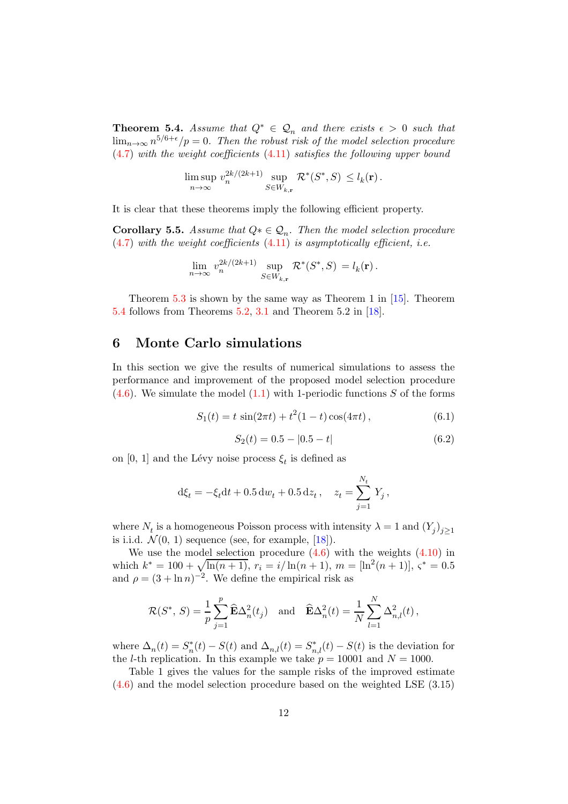<span id="page-11-1"></span>**Theorem 5.4.** Assume that  $Q^* \in \mathcal{Q}_n$  and there exists  $\epsilon > 0$  such that  $\lim_{n\to\infty} n^{5/6+\epsilon}/p = 0$ . Then the robust risk of the model selection procedure  $(4.7)$  with the weight coefficients  $(4.11)$  satisfies the following upper bound

$$
\limsup_{n \to \infty} v_n^{2k/(2k+1)} \sup_{S \in W_{k,\mathbf{r}}} \mathcal{R}^*(S^*, S) \le l_k(\mathbf{r}).
$$

It is clear that these theorems imply the following efficient property.

**Corollary 5.5.** Assume that  $Q^* \in \mathcal{Q}_n$ . Then the model selection procedure  $(4.7)$  with the weight coefficients  $(4.11)$  is asymptotically efficient, i.e.

$$
\lim_{n \to \infty} v_n^{2k/(2k+1)} \sup_{S \in W_{k,\mathbf{r}}} \mathcal{R}^*(S^*, S) = l_k(\mathbf{r}).
$$

Theorem  $5.3$  is shown by the same way as Theorem 1 in  $[15]$ . Theorem [5.4](#page-11-1) follows from Theorems [5.2,](#page-10-2) [3.1](#page-6-2) and Theorem 5.2 in [\[18](#page-36-7)].

# <span id="page-11-0"></span>6 Monte Carlo simulations

In this section we give the results of numerical simulations to assess the performance and improvement of the proposed model selection procedure  $(4.6)$ . We simulate the model  $(1.1)$  with 1-periodic functions S of the forms

$$
S_1(t) = t \sin(2\pi t) + t^2 (1 - t) \cos(4\pi t), \qquad (6.1)
$$

<span id="page-11-2"></span>
$$
S_2(t) = 0.5 - |0.5 - t| \tag{6.2}
$$

on [0, 1] and the Lévy noise process  $\xi_t$  is defined as

$$
d\xi_t = -\xi_t dt + 0.5 dw_t + 0.5 dz_t, \quad z_t = \sum_{j=1}^{N_t} Y_j,
$$

where  $N_t$  is a homogeneous Poisson process with intensity  $\lambda = 1$  and  $(Y_j)_{j \geq 1}$ is i.i.d.  $\mathcal{N}(0, 1)$  sequence (see, for example, [\[18\]](#page-36-7)).

We use the model selection procedure  $(4.6)$  with the weights  $(4.10)$  in which  $k^* = 100 + \sqrt{\ln(n+1)}$ ,  $r_i = i/\ln(n+1)$ ,  $m = [\ln^2(n+1)]$ ,  $\zeta^* = 0.5$ and  $\rho = (3 + \ln n)^{-2}$ . We define the empirical risk as

$$
\mathcal{R}(S^*, S) = \frac{1}{p} \sum_{j=1}^p \widehat{\mathbf{E}} \Delta_n^2(t_j) \quad \text{and} \quad \widehat{\mathbf{E}} \Delta_n^2(t) = \frac{1}{N} \sum_{l=1}^N \Delta_{n,l}^2(t),
$$

where  $\Delta_n(t) = S_n^*(t) - S(t)$  and  $\Delta_{n,l}(t) = S_{n,l}^*(t) - S(t)$  is the deviation for the *l*-th replication. In this example we take  $p = 10001$  and  $N = 1000$ .

Table 1 gives the values for the sample risks of the improved estimate [\(4.6\)](#page-7-1) and the model selection procedure based on the weighted LSE (3.15)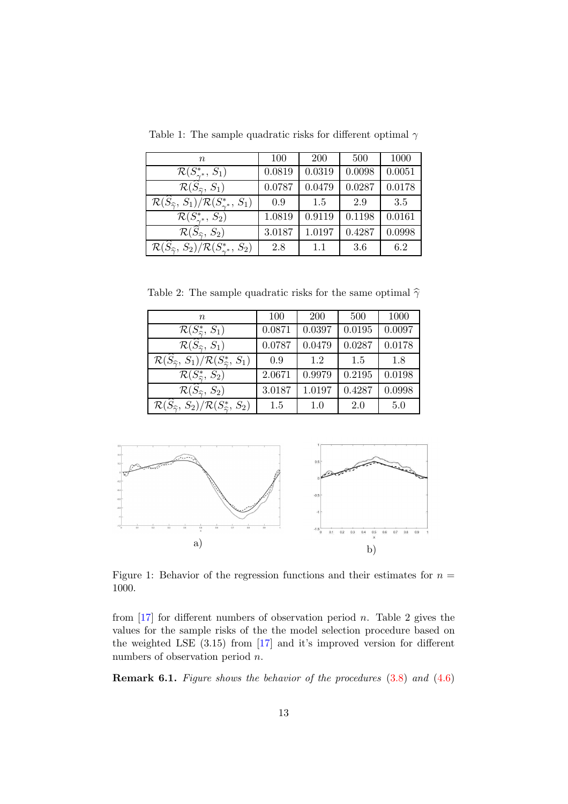| $\, n$                                                                            | 100    | <b>200</b> | 500    | 1000   |
|-----------------------------------------------------------------------------------|--------|------------|--------|--------|
| $\mathcal{R}(S^*_{\gamma^*}, S_1)$                                                | 0.0819 | 0.0319     | 0.0098 | 0.0051 |
| $\mathcal{R}(\widehat{S}_{\widehat{\gamma}},S_1)$                                 | 0.0787 | 0.0479     | 0.0287 | 0.0178 |
| $\mathcal{R}(\widehat{S}_{\widehat{\gamma}},S_1)/\mathcal{R}(S_{\gamma^*}^*,S_1)$ | 0.9    | 1.5        | 2.9    | 3.5    |
| $\mathcal{R}(S^*_{\gamma^*}, S_2)$                                                | 1.0819 | 0.9119     | 0.1198 | 0.0161 |
| $\overline{\mathcal{R}}(\widehat{S}_{\widehat{\gamma}},S_2)$                      | 3.0187 | 1.0197     | 0.4287 | 0.0998 |
| $\mathcal{R}(S_{\widehat{\gamma}}, S_2)/\mathcal{R}(S_{\gamma^*}^*, S_2)$         | 2.8    | 1.1        | 3.6    | 6.2    |

Table 1: The sample quadratic risks for different optimal  $\gamma$ 

Table 2: The sample quadratic risks for the same optimal  $\hat{\gamma}$ 

| $n_{\rm c}$                                                                                   | 100    | <b>200</b> | 500    | 1000   |
|-----------------------------------------------------------------------------------------------|--------|------------|--------|--------|
| $\mathcal{R}(S^*_{\widehat{\infty}}, S_1)$                                                    | 0.0871 | 0.0397     | 0.0195 | 0.0097 |
| $\overline{\mathcal{R}(\widehat{S}_{\widehat{\gamma}},\, S_1)}$                               | 0.0787 | 0.0479     | 0.0287 | 0.0178 |
| $\mathcal{R}(\widehat{S}_{\widehat{\gamma}},S_1)/\mathcal{R}(S_{\widehat{\gamma}}^*,S_1)$     | 0.9    | 1.2        | 1.5    | 1.8    |
| $\mathcal{R}(S^*_{\widehat{\infty}}, S_2)$                                                    | 2.0671 | 0.9979     | 0.2195 | 0.0198 |
| $\overline{\mathcal{R}(\widehat{S}_{\widehat{\gamma}},\, S_2)}$                               | 3.0187 | 1.0197     | 0.4287 | 0.0998 |
| $\mathcal{R}(\widehat{S}_{\widehat{\gamma}},\,S_2)/\mathcal{R}(S_{\widehat{\gamma}}^*,\,S_2)$ | 1.5    | 1.0        | 2.0    | 5.0    |



Figure 1: Behavior of the regression functions and their estimates for  $n =$ 1000.

from  $\left[17\right]$  for different numbers of observation period *n*. Table 2 gives the values for the sample risks of the the model selection procedure based on the weighted LSE (3.15) from [\[17\]](#page-36-6) and it's improved version for different numbers of observation period n.

Remark 6.1. Figure shows the behavior of the procedures  $(3.8)$  and  $(4.6)$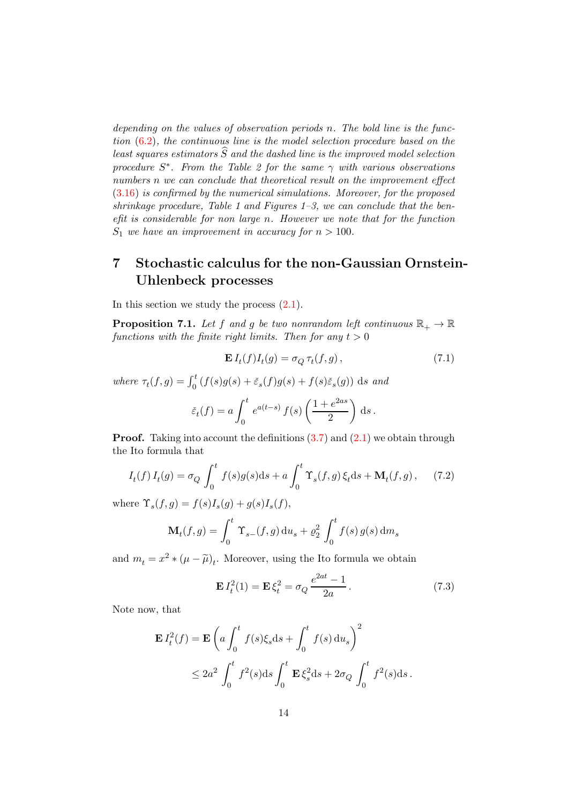depending on the values of observation periods n. The bold line is the function [\(6.2\)](#page-11-2), the continuous line is the model selection procedure based on the least squares estimators  $\widehat{S}$  and the dashed line is the improved model selection procedure  $S^*$ . From the Table 2 for the same  $\gamma$  with various observations numbers n we can conclude that theoretical result on the improvement effect [\(3.16\)](#page-6-1) is confirmed by the numerical simulations. Moreover, for the proposed shrinkage procedure, Table 1 and Figures  $1-3$ , we can conclude that the benefit is considerable for non large n. However we note that for the function  $S_1$  we have an improvement in accuracy for  $n > 100$ .

# <span id="page-13-0"></span>7 Stochastic calculus for the non-Gaussian Ornstein-Uhlenbeck processes

In this section we study the process [\(2.1\)](#page-3-1).

<span id="page-13-3"></span>**Proposition 7.1.** Let f and g be two nonrandom left continuous  $\mathbb{R}_+ \to \mathbb{R}$ functions with the finite right limits. Then for any  $t > 0$ 

<span id="page-13-2"></span><span id="page-13-1"></span>
$$
\mathbf{E} I_t(f) I_t(g) = \sigma_Q \tau_t(f, g), \qquad (7.1)
$$

where  $\tau_t(f,g) = \int_0^t (f(s)g(s) + \breve{\varepsilon}_s(f)g(s) + f(s)\breve{\varepsilon}_s(g))$  ds and

$$
\check{\varepsilon}_t(f) = a \int_0^t e^{a(t-s)} f(s) \left( \frac{1 + e^{2as}}{2} \right) ds.
$$

**Proof.** Taking into account the definitions  $(3.7)$  and  $(2.1)$  we obtain through the Ito formula that

$$
I_t(f) I_t(g) = \sigma_Q \int_0^t f(s)g(s)ds + a \int_0^t \Upsilon_s(f,g) \xi_t ds + \mathbf{M}_t(f,g), \quad (7.2)
$$

where  $\Upsilon_s(f,g) = f(s)I_s(g) + g(s)I_s(f)$ ,

$$
\mathbf{M}_{t}(f,g) = \int_{0}^{t} \Upsilon_{s-}(f,g) \, \mathrm{d}u_{s} + \varrho_{2}^{2} \int_{0}^{t} f(s) \, g(s) \, \mathrm{d}m_{s}
$$

and  $m_t = x^2 * (\mu - \tilde{\mu})_t$ . Moreover, using the Ito formula we obtain

<span id="page-13-4"></span>
$$
\mathbf{E} I_t^2(1) = \mathbf{E} \xi_t^2 = \sigma_Q \frac{e^{2at} - 1}{2a}.
$$
 (7.3)

Note now, that

$$
\mathbf{E} I_t^2(f) = \mathbf{E} \left( a \int_0^t f(s) \xi_s ds + \int_0^t f(s) du_s \right)^2
$$
  
 
$$
\leq 2a^2 \int_0^t f^2(s) ds \int_0^t \mathbf{E} \xi_s^2 ds + 2\sigma_Q \int_0^t f^2(s) ds.
$$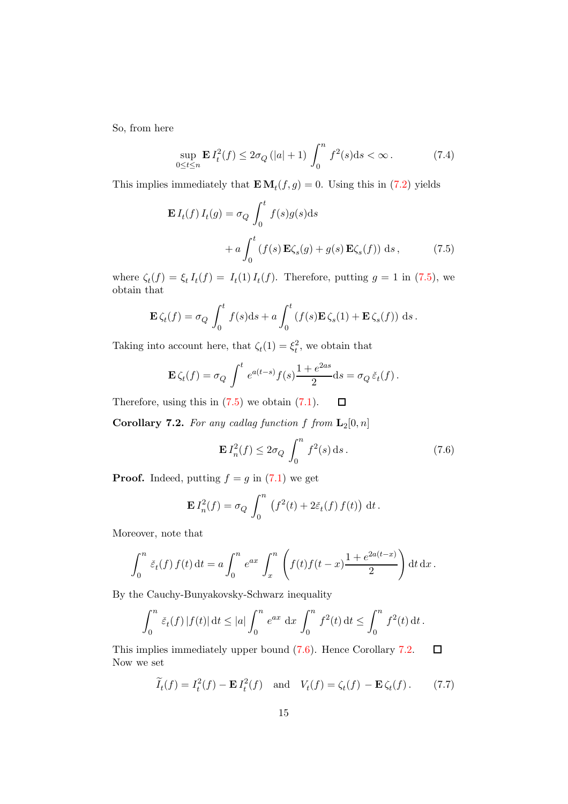So, from here

$$
\sup_{0 \le t \le n} \mathbf{E} I_t^2(f) \le 2\sigma_Q(|a|+1) \int_0^n f^2(s) \, \mathrm{d}s < \infty. \tag{7.4}
$$

This implies immediately that  $\mathbf{E} \mathbf{M}_t(f,g) = 0$ . Using this in [\(7.2\)](#page-13-1) yields

<span id="page-14-1"></span>
$$
\mathbf{E} I_t(f) I_t(g) = \sigma_Q \int_0^t f(s) g(s) ds
$$
  
+  $a \int_0^t (f(s) \mathbf{E} \zeta_s(g) + g(s) \mathbf{E} \zeta_s(f)) ds,$  (7.5)

where  $\zeta_t(f) = \xi_t I_t(f) = I_t(1) I_t(f)$ . Therefore, putting  $g = 1$  in [\(7.5\)](#page-14-1), we obtain that

$$
\mathbf{E}\,\zeta_t(f) = \sigma_Q \int_0^t f(s) \mathrm{d}s + a \int_0^t \left(f(s)\mathbf{E}\,\zeta_s(1) + \mathbf{E}\,\zeta_s(f)\right) \,\mathrm{d}s.
$$

Taking into account here, that  $\zeta_t(1) = \xi_t^2$ , we obtain that

$$
\mathbf{E}\,\zeta_t(f) = \sigma_Q \int^t e^{a(t-s)} f(s) \frac{1 + e^{2as}}{2} \mathrm{d}s = \sigma_Q \,\check{\varepsilon}_t(f) \,.
$$

Therefore, using this in  $(7.5)$  we obtain  $(7.1)$ .  $\Box$ 

<span id="page-14-0"></span>**Corollary 7.2.** For any cadlag function f from  $\mathbf{L}_2[0,n]$ 

<span id="page-14-2"></span>
$$
\mathbf{E} I_n^2(f) \le 2\sigma_Q \int_0^n f^2(s) \, \mathrm{d}s \,. \tag{7.6}
$$

**Proof.** Indeed, putting  $f = g$  in [\(7.1\)](#page-13-2) we get

$$
\mathbf{E} I_n^2(f) = \sigma_Q \int_0^n \left( f^2(t) + 2\tilde{\varepsilon}_t(f) f(t) \right) dt.
$$

Moreover, note that

$$
\int_0^n \tilde{\varepsilon}_t(f) f(t) dt = a \int_0^n e^{ax} \int_x^n \left( f(t) f(t-x) \frac{1 + e^{2a(t-x)}}{2} \right) dt dx.
$$

By the Cauchy-Bunyakovsky-Schwarz inequality

$$
\int_0^n \tilde{\varepsilon}_t(f) |f(t)| dt \le |a| \int_0^n e^{ax} dx \int_0^n f^2(t) dt \le \int_0^n f^2(t) dt.
$$

This implies immediately upper bound [\(7.6\)](#page-14-2). Hence Corollary [7.2.](#page-14-0)  $\Box$ Now we set

$$
\widetilde{I}_t(f) = I_t^2(f) - \mathbf{E} I_t^2(f) \quad \text{and} \quad V_t(f) = \zeta_t(f) - \mathbf{E} \zeta_t(f). \tag{7.7}
$$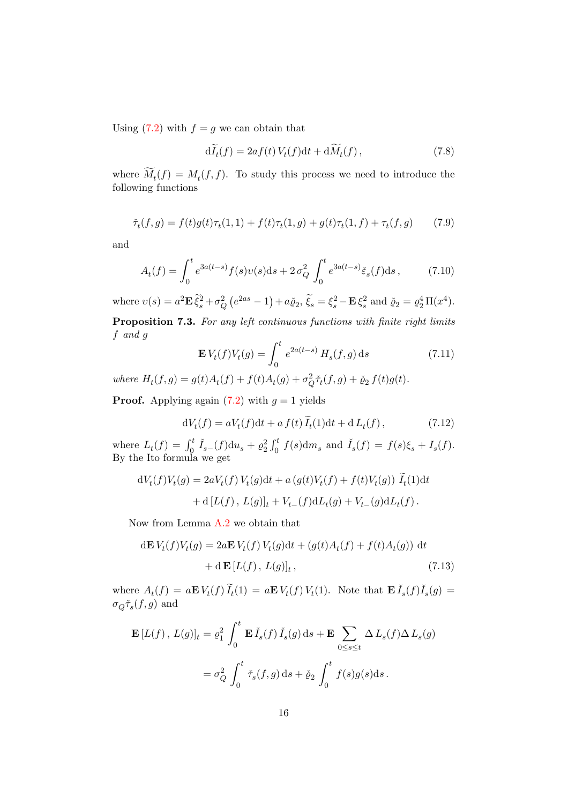Using  $(7.2)$  with  $f = g$  we can obtain that

<span id="page-15-3"></span>
$$
\mathrm{d}\widetilde{I}_t(f) = 2af(t)V_t(f)\mathrm{d}t + \mathrm{d}\widetilde{M}_t(f)\,,\tag{7.8}
$$

where  $M_t(f) = M_t(f, f)$ . To study this process we need to introduce the following functions

$$
\tilde{\tau}_t(f,g) = f(t)g(t)\tau_t(1,1) + f(t)\tau_t(1,g) + g(t)\tau_t(1,f) + \tau_t(f,g)
$$
(7.9)

and

<span id="page-15-1"></span>
$$
A_t(f) = \int_0^t e^{3a(t-s)} f(s)v(s)ds + 2\sigma_Q^2 \int_0^t e^{3a(t-s)} \check{\varepsilon}_s(f)ds, \tag{7.10}
$$

<span id="page-15-2"></span>where  $v(s) = a^2 \mathbf{E} \, \tilde{\xi}_s^2 + \sigma_Q^2 \left( e^{2as} - 1 \right) + a \check{\varrho}_2, \, \tilde{\xi}_s = \xi_s^2 - \mathbf{E} \, \xi_s^2$  and  $\check{\varrho}_2 = \varrho_2^4 \, \Pi(x^4)$ . Proposition 7.3. For any left continuous functions with finite right limits f and g

$$
\mathbf{E} V_t(f) V_t(g) = \int_0^t e^{2a(t-s)} H_s(f, g) \, ds \tag{7.11}
$$

where  $H_t(f, g) = g(t)A_t(f) + f(t)A_t(g) + \sigma_Q^2 \tilde{\tau}_t(f, g) + \tilde{\varrho}_2 f(t)g(t)$ .

**Proof.** Applying again  $(7.2)$  with  $g = 1$  yields

<span id="page-15-0"></span>
$$
dV_t(f) = aV_t(f)dt + a f(t)\widetilde{I}_t(1)dt + dL_t(f), \qquad (7.12)
$$

where  $L_t(f) = \int_0^t \check{I}_{s-}(f) \mathrm{d}u_s + \varrho_2^2 \int_0^t f(s) \mathrm{d}m_s$  and  $\check{I}_s(f) = f(s)\xi_s + I_s(f)$ . By the Ito formula we get

$$
dV_t(f)V_t(g) = 2aV_t(f)V_t(g)dt + a(g(t)V_t(f) + f(t)V_t(g)) \tilde{I}_t(1)dt
$$
  
+ d [L(f), L(g)]<sub>t</sub> + V<sub>t-</sub>(f)dL<sub>t</sub>(g) + V<sub>t-</sub>(g)dL<sub>t</sub>(f).

Now from Lemma [A.2](#page-30-2) we obtain that

$$
d\mathbf{E} V_t(f)V_t(g) = 2a\mathbf{E} V_t(f)V_t(g)dt + (g(t)A_t(f) + f(t)A_t(g)) dt
$$
  
+ d $\mathbf{E} [L(f), L(g)]_t$ , (7.13)

where  $A_t(f) = a \mathbf{E} V_t(f) \widetilde{I}_t(1) = a \mathbf{E} V_t(f) V_t(1)$ . Note that  $\mathbf{E} \check{I}_s(f) \check{I}_s(g) =$  $\sigma_{Q} \check{\tau}_{s}(f,g)$  and

$$
\mathbf{E}\left[L(f), L(g)\right]_t = \varrho_1^2 \int_0^t \mathbf{E}\,\check{I}_s(f)\,\check{I}_s(g)\,\mathrm{d}s + \mathbf{E}\sum_{0 \le s \le t} \Delta\,L_s(f)\Delta\,L_s(g)
$$

$$
= \sigma_Q^2 \int_0^t \check{\tau}_s(f,g)\,\mathrm{d}s + \check{\varrho}_2 \int_0^t f(s)g(s)\mathrm{d}s.
$$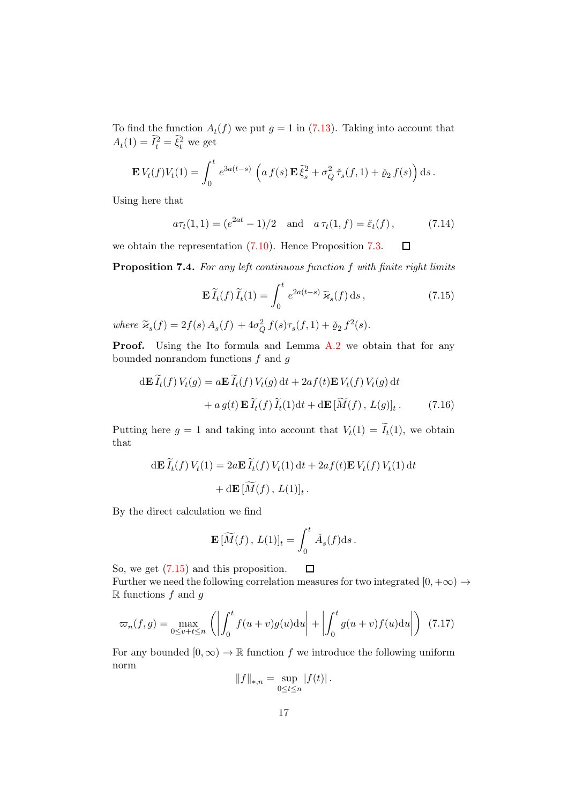To find the function  $A_t(f)$  we put  $g = 1$  in [\(7.13\)](#page-15-0). Taking into account that  $A_t(1) = \widetilde{I}_t^2 = \widetilde{\xi}_t^2$  we get

$$
\mathbf{E} V_t(f) V_t(1) = \int_0^t e^{3a(t-s)} \left( a f(s) \mathbf{E} \tilde{\xi}_s^2 + \sigma_Q^2 \tilde{\tau}_s(f, 1) + \check{\varrho}_2 f(s) \right) ds.
$$

Using here that

<span id="page-16-1"></span>
$$
a\tau_t(1,1) = (e^{2at} - 1)/2
$$
 and  $a\tau_t(1,f) = \check{\varepsilon}_t(f)$ , (7.14)

we obtain the representation [\(7.10\)](#page-15-1). Hence Proposition [7.3.](#page-15-2)  $\Box$ 

Proposition 7.4. For any left continuous function f with finite right limits

<span id="page-16-0"></span>
$$
\mathbf{E}\,\widetilde{I}_t(f)\,\widetilde{I}_t(1) = \int_0^t e^{2a(t-s)}\,\widetilde{\varkappa}_s(f)\,\mathrm{d}s\,,\tag{7.15}
$$

where  $\tilde{\varkappa}_s(f) = 2f(s) A_s(f) + 4\sigma_Q^2 f(s)\tau_s(f, 1) + \check{\varrho}_2 f^2(s)$ .

Proof. Using the Ito formula and Lemma [A.2](#page-30-2) we obtain that for any bounded nonrandom functions  $f$  and  $g$ 

$$
d\mathbf{E}\,\widetilde{I}_t(f)\,V_t(g) = a\mathbf{E}\,\widetilde{I}_t(f)\,V_t(g)\,dt + 2af(t)\mathbf{E}\,V_t(f)\,V_t(g)\,dt
$$

$$
+ a\,g(t)\,\mathbf{E}\,\widetilde{I}_t(f)\,\widetilde{I}_t(1)dt + d\mathbf{E}\,[\widetilde{M}(f)\,,\,L(g)]_t\,. \tag{7.16}
$$

Putting here  $g = 1$  and taking into account that  $V_t(1) = I_t(1)$ , we obtain that

$$
d\mathbf{E}\,\widetilde{I}_t(f)\,V_t(1) = 2a\mathbf{E}\,\widetilde{I}_t(f)\,V_t(1)\,dt + 2af(t)\mathbf{E}\,V_t(f)\,V_t(1)\,dt
$$

$$
+ d\mathbf{E}\,[\widetilde{M}(f)\,,\,L(1)]_t\,.
$$

By the direct calculation we find

$$
\mathbf{E}[\widetilde{M}(f), L(1)]_t = \int_0^t \check{A}_s(f) \mathrm{d}s.
$$

So, we get [\(7.15\)](#page-16-0) and this proposition.  $\Box$ 

Further we need the following correlation measures for two integrated  $[0, +\infty) \rightarrow$  $\mathbb R$  functions f and q

$$
\varpi_n(f,g) = \max_{0 \le v+t \le n} \left( \left| \int_0^t f(u+v)g(u) \mathrm{d}u \right| + \left| \int_0^t g(u+v)f(u) \mathrm{d}u \right| \right) \tag{7.17}
$$

For any bounded  $[0,\infty) \to \mathbb{R}$  function f we introduce the following uniform norm

$$
||f||_{*,n} = \sup_{0 \le t \le n} |f(t)|.
$$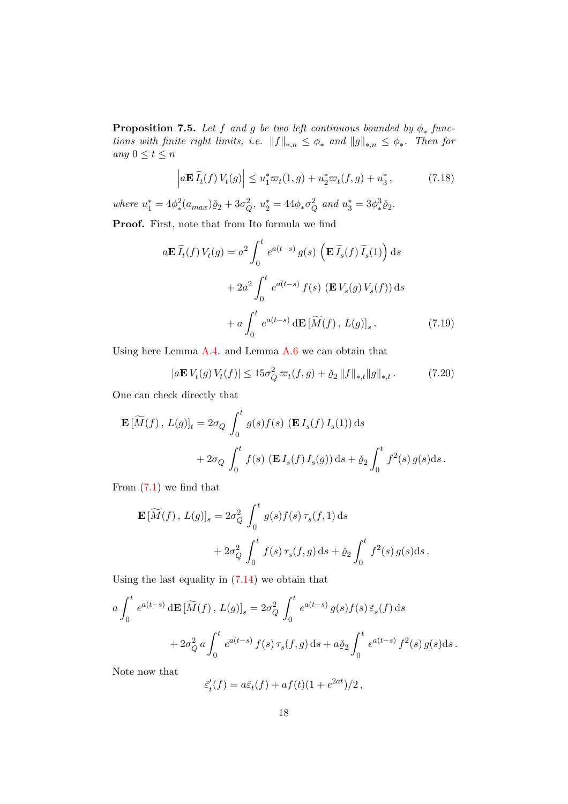<span id="page-17-2"></span>**Proposition 7.5.** Let f and g be two left continuous bounded by  $\phi_*$  functions with finite right limits, i.e.  $||f||_{*,n} \leq \phi_*$  and  $||g||_{*,n} \leq \phi_*$ . Then for any  $0 \leq t \leq n$ 

<span id="page-17-1"></span>
$$
\left| a\mathbf{E}\,\widetilde{I}_t(f)\,V_t(g) \right| \le u_1^* \varpi_t(1,g) + u_2^* \varpi_t(f,g) + u_3^*,\tag{7.18}
$$

where  $u_1^* = 4\phi_*^2$  $x_*^2(a_{max})\check{p}_2 + 3\sigma_Q^2, u_2^* = 44\phi_*\sigma_Q^2$  and  $u_3^* = 3\phi_*^3$  $\frac{3}{2}\check{\varrho}_2$ .

Proof. First, note that from Ito formula we find

$$
a\mathbf{E}\widetilde{I}_t(f)V_t(g) = a^2 \int_0^t e^{a(t-s)} g(s) \left(\mathbf{E}\widetilde{I}_s(f)\widetilde{I}_s(1)\right) ds
$$

$$
+ 2a^2 \int_0^t e^{a(t-s)} f(s) \left(\mathbf{E}V_s(g)V_s(f)\right) ds
$$

$$
+ a \int_0^t e^{a(t-s)} d\mathbf{E}\widetilde{[M}(f), L(g)]_s.
$$
(7.19)

Using here Lemma [A.4.](#page-31-1) and Lemma [A.6](#page-34-0) we can obtain that

<span id="page-17-0"></span>
$$
|a\mathbf{E} V_t(g) V_t(f)| \le 15\sigma_Q^2 \,\varpi_t(f,g) + \check{\varrho}_2 \|f\|_{*,t} \|g\|_{*,t} \,. \tag{7.20}
$$

One can check directly that

$$
\mathbf{E} \left[ \widetilde{M}(f) \, , \, L(g) \right]_t = 2\sigma_Q \, \int_0^t \, g(s) f(s) \, \left( \mathbf{E} \, I_s(f) \, I_s(1) \right) \mathrm{d}s
$$
\n
$$
+ \, 2\sigma_Q \, \int_0^t \, f(s) \, \left( \mathbf{E} \, I_s(f) \, I_s(g) \right) \mathrm{d}s + \check{\varrho}_2 \int_0^t \, f^2(s) \, g(s) \mathrm{d}s \, .
$$

From [\(7.1\)](#page-13-2) we find that

$$
\mathbf{E} \left[ \widetilde{M}(f) , L(g) \right]_s = 2\sigma_Q^2 \int_0^t g(s) f(s) \tau_s(f, 1) ds
$$
  
+ 
$$
2\sigma_Q^2 \int_0^t f(s) \tau_s(f, g) ds + \check{\varrho}_2 \int_0^t f^2(s) g(s) ds.
$$

Using the last equality in [\(7.14\)](#page-16-1) we obtain that

$$
a \int_0^t e^{a(t-s)} d\mathbf{E} [\widetilde{M}(f), L(g)]_s = 2\sigma_Q^2 \int_0^t e^{a(t-s)} g(s) f(s) \, \widetilde{\varepsilon}_s(f) \, ds + 2\sigma_Q^2 a \int_0^t e^{a(t-s)} f(s) \, \tau_s(f, g) \, ds + a \check{\varrho}_2 \int_0^t e^{a(t-s)} f^2(s) g(s) \, ds.
$$

Note now that

$$
\breve{e}'_t(f) = a\breve{e}_t(f) + af(t)(1 + e^{2at})/2,
$$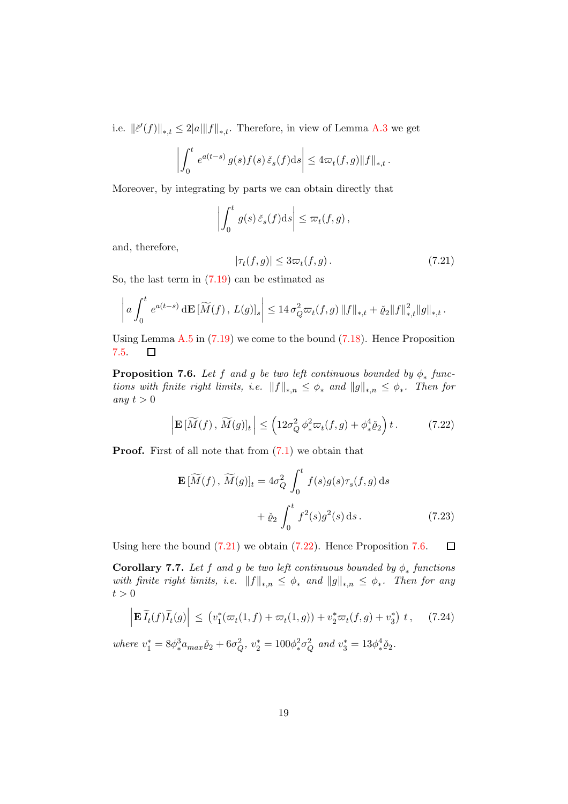i.e.  $\|\breve{\varepsilon}'(f)\|_{*,t} \leq 2|a|\|f\|_{*,t}$ . Therefore, in view of Lemma [A.3](#page-31-2) we get

$$
\left| \int_0^t e^{a(t-s)} g(s) f(s) \, \check{\varepsilon}_s(f) \mathrm{d} s \right| \leq 4 \varpi_t(f,g) \|f\|_{*,t} \, .
$$

Moreover, by integrating by parts we can obtain directly that

$$
\left| \int_0^t g(s) \, \check{\varepsilon}_s(f) \mathrm{d} s \right| \leq \varpi_t(f, g) \,,
$$

and, therefore,

<span id="page-18-0"></span>
$$
|\tau_t(f,g)| \le 3\varpi_t(f,g). \tag{7.21}
$$

So, the last term in [\(7.19\)](#page-17-0) can be estimated as

$$
\left| a \int_0^t e^{a(t-s)} d\mathbf{E} \left[ \widetilde{M}(f) \, , \, L(g) \right]_s \right| \leq 14 \, \sigma_Q^2 \varpi_t(f,g) \, \|f\|_{*,t} + \check{\varrho}_2 \|f\|_{*,t}^2 \|g\|_{*,t} \, .
$$

Using Lemma  $A.5$  in  $(7.19)$  we come to the bound  $(7.18)$ . Hence Proposition [7.5.](#page-17-2)  $\Box$ 

<span id="page-18-2"></span>**Proposition 7.6.** Let f and g be two left continuous bounded by  $\phi_*$  functions with finite right limits, i.e.  $||f||_{*,n} \leq \phi_*$  and  $||g||_{*,n} \leq \phi_*$ . Then for any  $t > 0$ 

<span id="page-18-1"></span>
$$
\left| \mathbf{E} \left[ \widetilde{M}(f), \widetilde{M}(g) \right]_t \right| \le \left( 12\sigma_Q^2 \, \phi_*^2 \varpi_t(f, g) + \phi_*^4 \check{\varrho}_2 \right) t \,. \tag{7.22}
$$

**Proof.** First of all note that from  $(7.1)$  we obtain that

$$
\mathbf{E}\left[\widetilde{M}(f), \widetilde{M}(g)\right]_t = 4\sigma_Q^2 \int_0^t f(s)g(s)\tau_s(f,g) ds
$$

$$
+ \check{\varrho}_2 \int_0^t f^2(s)g^2(s) ds. \tag{7.23}
$$

Using here the bound  $(7.21)$  we obtain  $(7.22)$ . Hence Proposition [7.6.](#page-18-2)  $\Box$ 

<span id="page-18-3"></span>**Corollary 7.7.** Let f and g be two left continuous bounded by  $\phi_*$  functions with finite right limits, i.e.  $||f||_{*,n} \leq \phi_*$  and  $||g||_{*,n} \leq \phi_*$ . Then for any  $t > 0$ 

$$
\left| \mathbf{E}\,\widetilde{I}_t(f)\widetilde{I}_t(g) \right| \le \left( v_1^*(\varpi_t(1,f) + \varpi_t(1,g)) + v_2^*\varpi_t(f,g) + v_3^* \right) \, t \,, \tag{7.24}
$$

where  $v_1^* = 8\phi_*^3$  $s^3 \overline{a}_{max} \check{Q}_2 + 6\sigma_Q^2, \ v^*_2 = 100 \phi_*^2$  $^{2}_{*}\sigma_{Q}^{2}$  and  $v_{3}^{*} = 13\phi_{*}^{4}$  $^4\check{\varrho}_2$ .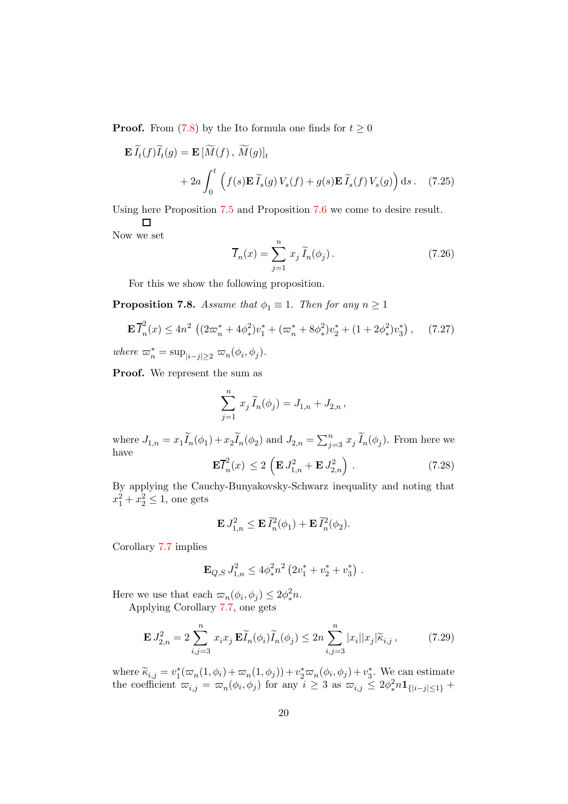**Proof.** From [\(7.8\)](#page-15-3) by the Ito formula one finds for  $t \geq 0$ 

$$
\mathbf{E}\,\widetilde{I}_t(f)\widetilde{I}_t(g) = \mathbf{E}\,[\widetilde{M}(f),\,\widetilde{M}(g)]_t
$$

$$
+ 2a\int_0^t \left(f(s)\mathbf{E}\,\widetilde{I}_s(g)\,V_s(f) + g(s)\mathbf{E}\,\widetilde{I}_s(f)\,V_s(g)\right)\mathrm{d}s\,. \tag{7.25}
$$

Using here Proposition [7.5](#page-17-2) and Proposition [7.6](#page-18-2) we come to desire result.  $\Box$ 

Now we set

$$
\overline{I}_n(x) = \sum_{j=1}^n x_j \widetilde{I}_n(\phi_j).
$$
 (7.26)

For this we show the following proposition.

<span id="page-19-2"></span>**Proposition 7.8.** Assume that  $\phi_1 \equiv 1$ . Then for any  $n \geq 1$ 

$$
\mathbf{E}\overline{I}_n^2(x) \le 4n^2 \left( (2\varpi_n^* + 4\phi_*^2)v_1^* + (\varpi_n^* + 8\phi_*^2)v_2^* + (1 + 2\phi_*^2)v_3^*\right),\tag{7.27}
$$

where  $\varpi_n^* = \sup_{|i-j| \geq 2} \varpi_n(\phi_i, \phi_j)$ .

Proof. We represent the sum as

$$
\sum_{j=1}^{n} x_j \widetilde{I}_n(\phi_j) = J_{1,n} + J_{2,n},
$$

where  $J_{1,n} = x_1 \widetilde{I}_n(\phi_1) + x_2 \widetilde{I}_n(\phi_2)$  and  $J_{2,n} = \sum_{j=3}^n x_j \widetilde{I}_n(\phi_j)$ . From here we have

<span id="page-19-1"></span>
$$
\mathbf{E}\overline{I}_n^2(x) \le 2\left(\mathbf{E} J_{1,n}^2 + \mathbf{E} J_{2,n}^2\right). \tag{7.28}
$$

By applying the Cauchy-Bunyakovsky-Schwarz inequality and noting that  $x_1^2 + x_2^2 \le 1$ , one gets

$$
\mathbf{E} J_{1,n}^2 \leq \mathbf{E} \, \widetilde{I}_n^2(\phi_1) + \mathbf{E} \, \widetilde{I}_n^2(\phi_2).
$$

Corollary [7.7](#page-18-3) implies

$$
\mathbf{E}_{Q,S} J_{1,n}^2 \le 4\phi_*^2 n^2 \left(2v_1^* + v_2^* + v_3^*\right).
$$

Here we use that each  $\varpi_n(\phi_i, \phi_j) \leq 2\phi_*^2$  $\frac{2}{*}n$ .

Applying Corollary [7.7,](#page-18-3) one gets

<span id="page-19-0"></span>
$$
\mathbf{E} J_{2,n}^2 = 2 \sum_{i,j=3}^n x_i x_j \mathbf{E} \widetilde{I}_n(\phi_i) \widetilde{I}_n(\phi_j) \le 2n \sum_{i,j=3}^n |x_i| |x_j| \widetilde{\kappa}_{i,j}, \tag{7.29}
$$

where  $\widetilde{\kappa}_{i,j} = v_1^*(\varpi_n(1,\phi_i) + \varpi_n(1,\phi_j)) + v_2^*\varpi_n(\phi_i,\phi_j) + v_3^*$ . We can estimate the coefficient  $\varpi_{i,j} = \varpi_n(\phi_i, \phi_j)$  for any  $i \geq 3$  as  $\varpi_{i,j} \leq 2\phi_*^2$  ${}^{2}_{*}n1_{\{|i-j|\leq 1\}} +$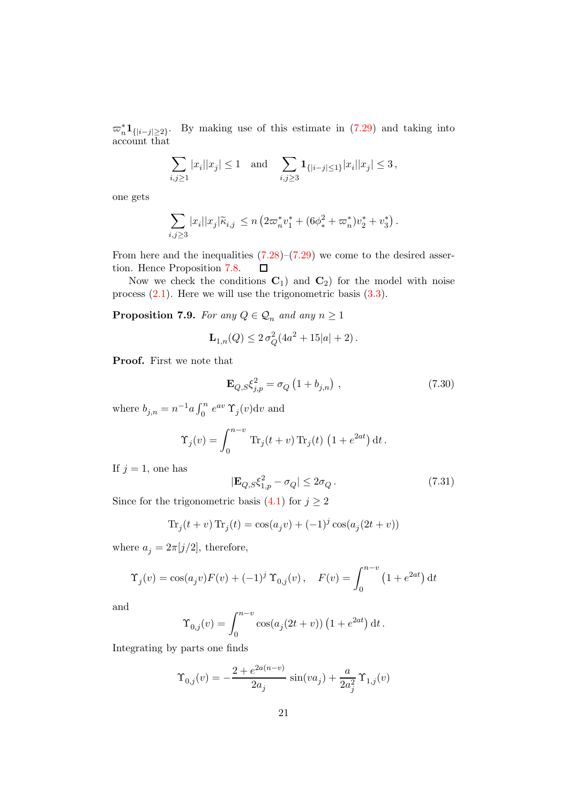$\varpi_n^* 1_{\{|i-j|\geq 2\}}$ . By making use of this estimate in [\(7.29\)](#page-19-0) and taking into account that

$$
\sum_{i,j\geq 1}|x_i||x_j|\leq 1 \text{ and } \sum_{i,j\geq 3}\mathbf{1}_{\{|i-j|\leq 1\}}|x_i||x_j|\leq 3\,,
$$

one gets

$$
\sum_{i,j\geq 3} |x_i| |x_j| \widetilde{\kappa}_{i,j} \, \leq n \left( 2 \varpi_n^* v_1^* + (6 \phi_*^2 + \varpi_n^*) v_2^* + v_3^* \right).
$$

From here and the inequalities  $(7.28)$ – $(7.29)$  we come to the desired assertion. Hence Proposition [7.8.](#page-19-2)  $\Box$ 

Now we check the conditions  $C_1$  and  $C_2$  for the model with noise process [\(2.1\)](#page-3-1). Here we will use the trigonometric basis [\(3.3\)](#page-4-1).

<span id="page-20-2"></span>**Proposition 7.9.** For any  $Q \in \mathcal{Q}_n$  and any  $n \geq 1$ 

$$
\mathbf{L}_{1,n}(Q) \le 2\,\sigma_Q^2(4a^2 + 15|a| + 2).
$$

Proof. First we note that

<span id="page-20-0"></span>
$$
\mathbf{E}_{Q,S}\xi_{j,p}^{2} = \sigma_{Q} \left( 1 + b_{j,n} \right) , \qquad (7.30)
$$

where  $b_{j,n} = n^{-1}a \int_0^n e^{av} \Upsilon_j(v) dv$  and

$$
\Upsilon_j(v) = \int_0^{n-v} \text{Tr}_j(t+v) \text{Tr}_j(t) (1 + e^{2at}) dt.
$$

If  $j = 1$ , one has

<span id="page-20-1"></span>
$$
|\mathbf{E}_{Q,S}\xi_{1,p}^2 - \sigma_Q| \le 2\sigma_Q. \tag{7.31}
$$

Since for the trigonometric basis [\(4.1\)](#page-7-3) for  $j \geq 2$ 

$$
\text{Tr}_j(t+v)\,\text{Tr}_j(t) = \cos(a_j v) + (-1)^j \cos(a_j(2t+v))
$$

where  $a_j = 2\pi[j/2]$ , therefore,

$$
\Upsilon_j(v) = \cos(a_j v) F(v) + (-1)^j \Upsilon_{0,j}(v), \quad F(v) = \int_0^{n-v} (1 + e^{2at}) dt
$$

and

$$
\Upsilon_{0,j}(v) = \int_0^{n-v} \cos(a_j(2t + v)) (1 + e^{2at}) dt.
$$

Integrating by parts one finds

$$
\Upsilon_{0,j}(v) = -\frac{2 + e^{2a(n-v)}}{2a_j} \sin(va_j) + \frac{a}{2a_j^2} \Upsilon_{1,j}(v)
$$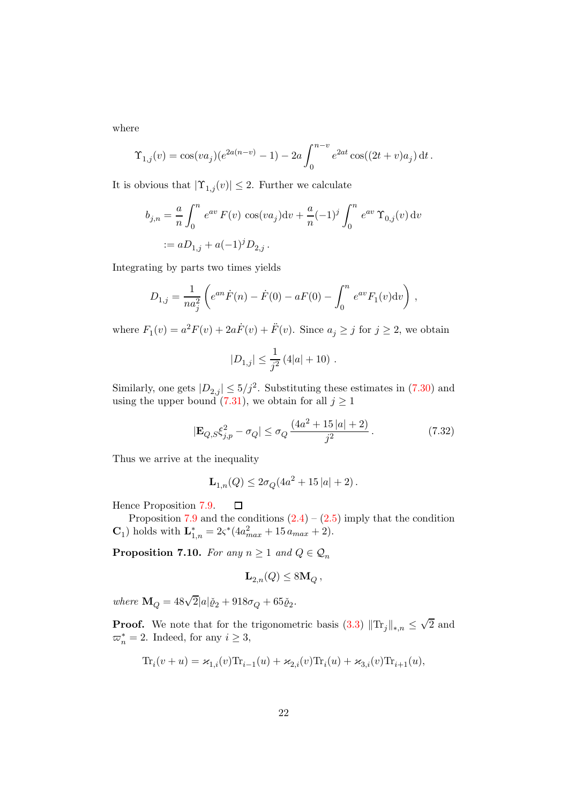where

$$
\Upsilon_{1,j}(v) = \cos(va_j)(e^{2a(n-v)} - 1) - 2a \int_0^{n-v} e^{2at} \cos((2t+v)a_j) dt.
$$

It is obvious that  $|\Upsilon_{1,j}(v)| \leq 2$ . Further we calculate

$$
b_{j,n} = \frac{a}{n} \int_0^n e^{av} F(v) \cos(va_j) dv + \frac{a}{n} (-1)^j \int_0^n e^{av} \Upsilon_{0,j}(v) dv
$$
  
 :=  $aD_{1,j} + a(-1)^j D_{2,j}$ .

Integrating by parts two times yields

$$
D_{1,j} = \frac{1}{na_j^2} \left( e^{an} \dot{F}(n) - \dot{F}(0) - aF(0) - \int_0^n e^{av} F_1(v) \mathrm{d}v \right) ,
$$

where  $F_1(v) = a^2 F(v) + 2a\dot{F}(v) + \ddot{F}(v)$ . Since  $a_j \ge j$  for  $j \ge 2$ , we obtain

$$
|D_{1,j}| \leq \frac{1}{j^2} \left( 4|a| + 10 \right) \, .
$$

Similarly, one gets  $|D_{2,j}| \leq 5/j^2$ . Substituting these estimates in [\(7.30\)](#page-20-0) and using the upper bound [\(7.31\)](#page-20-1), we obtain for all  $j \ge 1$ 

$$
|\mathbf{E}_{Q,S}\xi_{j,p}^{2} - \sigma_{Q}| \leq \sigma_{Q} \frac{(4a^{2} + 15|a| + 2)}{j^{2}}.
$$
 (7.32)

Thus we arrive at the inequality

$$
\mathbf{L}_{1,n}(Q) \le 2\sigma_Q(4a^2 + 15|a| + 2).
$$

Hence Proposition [7.9.](#page-20-2)  $\Box$ 

Proposition [7.9](#page-20-2) and the conditions  $(2.4) - (2.5)$  $(2.4) - (2.5)$  imply that the condition  $\mathbf{C}_1$ ) holds with  $\mathbf{L}_{1,n}^* = 2\varsigma^*(4a_{max}^2 + 15 a_{max} + 2).$ 

<span id="page-21-0"></span>**Proposition 7.10.** For any  $n \geq 1$  and  $Q \in \mathcal{Q}_n$ 

$$
\mathbf{L}_{2,n}(Q) \leq 8\mathbf{M}_Q \,,
$$

where  $\mathbf{M}_Q = 48\sqrt{2}|a|\check{\varrho}_2 + 918\sigma_Q + 65\check{\varrho}_2$ .

**Proof.** We note that for the trigonometric basis  $(3.3)$   $||\text{Tr}_j||_{*,n} \le$  $\sqrt{2}$  and  $\varpi_n^* = 2$ . Indeed, for any  $i \geq 3$ ,

$$
\text{Tr}_i(v+u)=\varkappa_{1,i}(v)\text{Tr}_{i-1}(u)+\varkappa_{2,i}(v)\text{Tr}_i(u)+\varkappa_{3,i}(v)\text{Tr}_{i+1}(u),
$$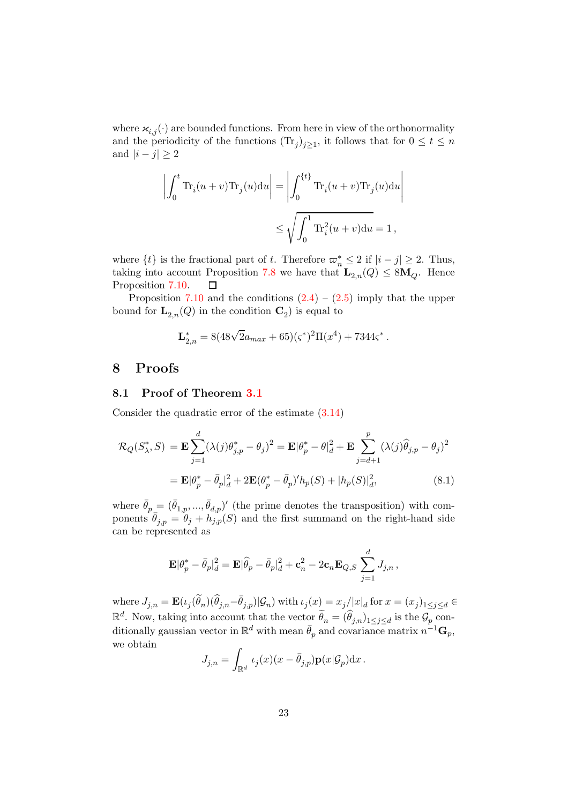where  $\varkappa_{i,j}(\cdot)$  are bounded functions. From here in view of the orthonormality and the periodicity of the functions  $(\text{Tr}_j)_{j\geq 1}$ , it follows that for  $0 \leq t \leq n$ and  $|i - j| \geq 2$ 

$$
\left| \int_0^t \text{Tr}_i(u+v) \text{Tr}_j(u) \text{d}u \right| = \left| \int_0^{\{t\}} \text{Tr}_i(u+v) \text{Tr}_j(u) \text{d}u \right|
$$
  

$$
\leq \sqrt{\int_0^1 \text{Tr}_i^2(u+v) \text{d}u} = 1,
$$

where  $\{t\}$  is the fractional part of t. Therefore  $\varpi_n^* \leq 2$  if  $|i-j| \geq 2$ . Thus, taking into account Proposition [7.8](#page-19-2) we have that  $\mathbf{L}_{2,n}(Q) \leq 8\mathbf{M}_Q$ . Hence Proposition 7.10. Proposition [7.10.](#page-21-0)

Proposition [7.10](#page-21-0) and the conditions  $(2.4) - (2.5)$  $(2.4) - (2.5)$  imply that the upper bound for  $\mathbf{L}_{2,n}(Q)$  in the condition  $\mathbf{C}_2$ ) is equal to

$$
\mathbf{L}_{2,n}^* = 8(48\sqrt{2}a_{max} + 65)(\varsigma^*)^2 \Pi(x^4) + 7344\varsigma^*.
$$

# <span id="page-22-0"></span>8 Proofs

#### 8.1 Proof of Theorem [3.1](#page-6-2)

Consider the quadratic error of the estimate [\(3.14\)](#page-6-0)

$$
\mathcal{R}_{Q}(S_{\lambda}^{*}, S) = \mathbf{E} \sum_{j=1}^{d} (\lambda(j)\theta_{j,p}^{*} - \theta_{j})^{2} = \mathbf{E}|\theta_{p}^{*} - \theta_{d}^{2} + \mathbf{E} \sum_{j=d+1}^{p} (\lambda(j)\widehat{\theta}_{j,p} - \theta_{j})^{2}
$$

$$
= \mathbf{E}|\theta_{p}^{*} - \bar{\theta}_{p}|_{d}^{2} + 2\mathbf{E}(\theta_{p}^{*} - \bar{\theta}_{p})'h_{p}(S) + |h_{p}(S)|_{d}^{2},
$$
(8.1)

where  $\bar{\theta}_p = (\bar{\theta}_{1,p}, ..., \bar{\theta}_{d,p})'$  (the prime denotes the transposition) with components  $\bar{\theta}_{j,p} = \theta_j + h_{j,p}(S)$  and the first summand on the right-hand side can be represented as

<span id="page-22-1"></span>
$$
\mathbf{E}|\theta_p^*-\bar{\theta}_p|_d^2=\mathbf{E}|\widehat{\theta}_p-\bar{\theta}_p|_d^2+\mathbf{c}_n^2-2\mathbf{c}_n\mathbf{E}_{Q,S}\sum_{j=1}^dJ_{j,n}\,,
$$

where  $J_{j,n} = \mathbf{E}(\iota_j(\widetilde{\theta}_n)(\widehat{\theta}_{j,n}-\bar{\theta}_{j,p})|\mathcal{G}_n)$  with  $\iota_j(x) = x_j/|x|_d$  for  $x = (x_j)_{1 \leq j \leq d} \in$  $\mathbb{R}^d$ . Now, taking into account that the vector  $\widetilde{\theta}_n = (\widehat{\theta}_{j,n})_{1 \leq j \leq d}$  is the  $\mathcal{G}_p$  conditionally gaussian vector in  $\mathbb{R}^d$  with mean  $\bar{\theta}_p$  and covariance matrix  $n^{-1} \mathbf{G}_p$ , we obtain

$$
J_{j,n} = \int_{\mathbb{R}^d} \iota_j(x) (x - \bar{\theta}_{j,p}) \mathbf{p}(x | \mathcal{G}_p) \mathrm{d}x.
$$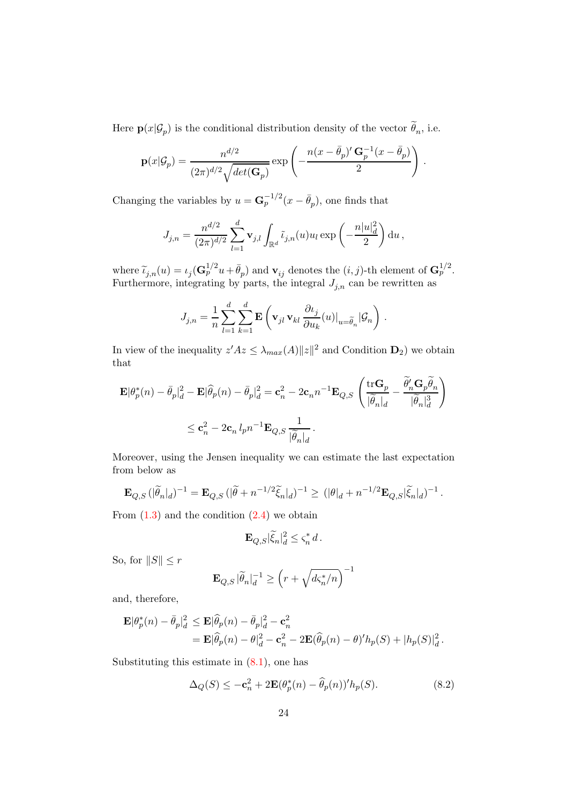Here  $\mathbf{p}(x|\mathcal{G}_p)$  is the conditional distribution density of the vector  $\theta_n$ , i.e.

$$
\mathbf{p}(x|\mathcal{G}_p) = \frac{n^{d/2}}{(2\pi)^{d/2}\sqrt{\det(\mathbf{G}_p)}}\exp\left(-\frac{n(x-\bar{\theta}_p)'\,\mathbf{G}_p^{-1}(x-\bar{\theta}_p)}{2}\right)\,.
$$

Changing the variables by  $u = \mathbf{G}_p^{-1/2}(x - \bar{\theta}_p)$ , one finds that

$$
J_{j,n} = \frac{n^{d/2}}{(2\pi)^{d/2}} \sum_{l=1}^d \mathbf{v}_{j,l} \int_{\mathbb{R}^d} \tilde{\iota}_{j,n}(u) u_l \exp\left(-\frac{n|u|_d^2}{2}\right) du,
$$

where  $\widetilde{\iota}_{j,n}(u) = \iota_j(\mathbf{G}_p^{1/2}u + \bar{\theta}_p)$  and  $\mathbf{v}_{ij}$  denotes the  $(i, j)$ -th element of  $\mathbf{G}_p^{1/2}$ . Furthermore, integrating by parts, the integral  $J_{j,n}$  can be rewritten as

$$
J_{j,n} = \frac{1}{n} \sum_{l=1}^d \sum_{k=1}^d \mathbf{E} \left( \mathbf{v}_{jl} \, \mathbf{v}_{kl} \, \frac{\partial \iota_j}{\partial u_k}(u) \big|_{u = \widetilde{\theta}_n} | \mathcal{G}_n \right) \, .
$$

In view of the inequality  $z'Az \leq \lambda_{max}(A) ||z||^2$  and Condition  $D_2$ ) we obtain that

$$
\begin{aligned} \mathbf{E}|\theta_p^*(n)-\bar{\theta}_p|_d^2-\mathbf{E}|\widehat{\theta}_p(n)-\bar{\theta}_p|_d^2&=\mathbf{c}_n^2-2\mathbf{c}_nn^{-1}\mathbf{E}_{Q,S}\left(\frac{\mathrm{tr}\mathbf{G}_p}{|\widetilde{\theta}_n|_d}-\frac{\widetilde{\theta}_n'\mathbf{G}_p\widetilde{\theta}_n}{|\widetilde{\theta}_n|_d^3}\right)\\ &\leq \mathbf{c}_n^2-2\mathbf{c}_n\,l_p n^{-1}\mathbf{E}_{Q,S}\,\frac{1}{|\widetilde{\theta}_n|_d}\,. \end{aligned}
$$

Moreover, using the Jensen inequality we can estimate the last expectation from below as

$$
\mathbf{E}_{Q,S} \left( |\tilde{\theta}_n|_d \right)^{-1} = \mathbf{E}_{Q,S} \left( |\tilde{\theta} + n^{-1/2} \tilde{\xi}_n|_d \right)^{-1} \geq \left( |\theta|_d + n^{-1/2} \mathbf{E}_{Q,S} |\tilde{\xi}_n|_d \right)^{-1}.
$$

From  $(1.3)$  and the condition  $(2.4)$  we obtain

$$
\mathbf{E}_{Q,S}|\widetilde{\xi}_n|^2_d \le \varsigma_n^* d \,.
$$

So, for  $||S|| \leq r$ 

$$
\mathbf{E}_{Q,S} |\widetilde{\theta}_n|_d^{-1} \ge \left(r + \sqrt{d\varsigma_n^*/n}\right)^{-1}
$$

and, therefore,

$$
\mathbf{E}|\theta_p^*(n) - \bar{\theta}_p|_d^2 \le \mathbf{E}|\widehat{\theta}_p(n) - \bar{\theta}_p|_d^2 - \mathbf{c}_n^2
$$
  
=  $\mathbf{E}|\widehat{\theta}_p(n) - \theta|_d^2 - \mathbf{c}_n^2 - 2\mathbf{E}(\widehat{\theta}_p(n) - \theta)'h_p(S) + |h_p(S)|_d^2$ .

Substituting this estimate in  $(8.1)$ , one has

<span id="page-23-0"></span>
$$
\Delta_Q(S) \le -\mathbf{c}_n^2 + 2\mathbf{E}(\theta_p^*(n) - \widehat{\theta}_p(n))^{\prime} h_p(S). \tag{8.2}
$$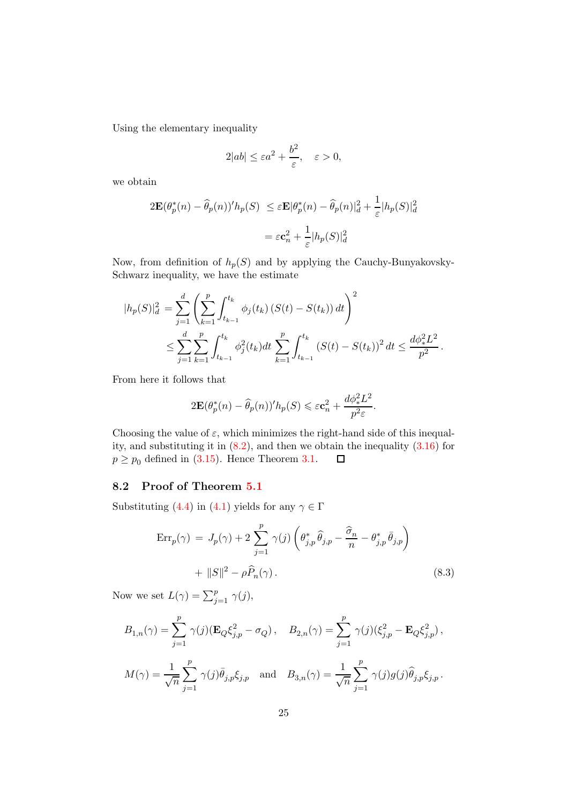Using the elementary inequality

$$
2|ab| \le \varepsilon a^2 + \frac{b^2}{\varepsilon}, \quad \varepsilon > 0,
$$

we obtain

$$
2\mathbf{E}(\theta_p^*(n) - \widehat{\theta}_p(n))' h_p(S) \le \varepsilon \mathbf{E}|\theta_p^*(n) - \widehat{\theta}_p(n)|_d^2 + \frac{1}{\varepsilon}|h_p(S)|_d^2
$$

$$
= \varepsilon \mathbf{c}_n^2 + \frac{1}{\varepsilon}|h_p(S)|_d^2
$$

Now, from definition of  $h_p(S)$  and by applying the Cauchy-Bunyakovsky-Schwarz inequality, we have the estimate

$$
|h_p(S)|_d^2 = \sum_{j=1}^d \left( \sum_{k=1}^p \int_{t_{k-1}}^{t_k} \phi_j(t_k) \left( S(t) - S(t_k) \right) dt \right)^2
$$
  

$$
\leq \sum_{j=1}^d \sum_{k=1}^p \int_{t_{k-1}}^{t_k} \phi_j^2(t_k) dt \sum_{k=1}^p \int_{t_{k-1}}^{t_k} \left( S(t) - S(t_k) \right)^2 dt \leq \frac{d \phi_*^2 L^2}{p^2}.
$$

From here it follows that

$$
2\mathbf{E}(\theta_p^*(n) - \widehat{\theta}_p(n))' h_p(S) \leqslant \varepsilon \mathbf{c}_n^2 + \frac{d\phi_*^2 L^2}{p^2 \varepsilon}.
$$

Choosing the value of  $\varepsilon$ , which minimizes the right-hand side of this inequality, and substituting it in  $(8.2)$ , and then we obtain the inequality  $(3.16)$  for  $p \ge p_0$  defined in [\(3.15\)](#page-6-3). Hence Theorem [3.1.](#page-6-2)  $\Box$ 

## 8.2 Proof of Theorem [5.1](#page-9-4)

Substituting [\(4.4\)](#page-7-4) in [\(4.1\)](#page-7-3) yields for any  $\gamma \in \Gamma$ 

<span id="page-24-0"></span>
$$
\text{Err}_p(\gamma) = J_p(\gamma) + 2 \sum_{j=1}^p \gamma(j) \left( \theta_{j,p}^* \widehat{\theta}_{j,p} - \frac{\widehat{\sigma}_n}{n} - \theta_{j,p}^* \overline{\theta}_{j,p} \right) + ||S||^2 - \rho \widehat{P}_n(\gamma).
$$
\n(8.3)

Now we set  $L(\gamma) = \sum_{j=1}^{p} \gamma(j)$ ,

$$
B_{1,n}(\gamma) = \sum_{j=1}^{p} \gamma(j) (\mathbf{E}_{Q} \xi_{j,p}^{2} - \sigma_{Q}), \quad B_{2,n}(\gamma) = \sum_{j=1}^{p} \gamma(j) (\xi_{j,p}^{2} - \mathbf{E}_{Q} \xi_{j,p}^{2}),
$$
  

$$
M(\gamma) = \frac{1}{\sqrt{n}} \sum_{j=1}^{p} \gamma(j) \bar{\theta}_{j,p} \xi_{j,p} \quad \text{and} \quad B_{3,n}(\gamma) = \frac{1}{\sqrt{n}} \sum_{j=1}^{p} \gamma(j) g(j) \hat{\theta}_{j,p} \xi_{j,p}.
$$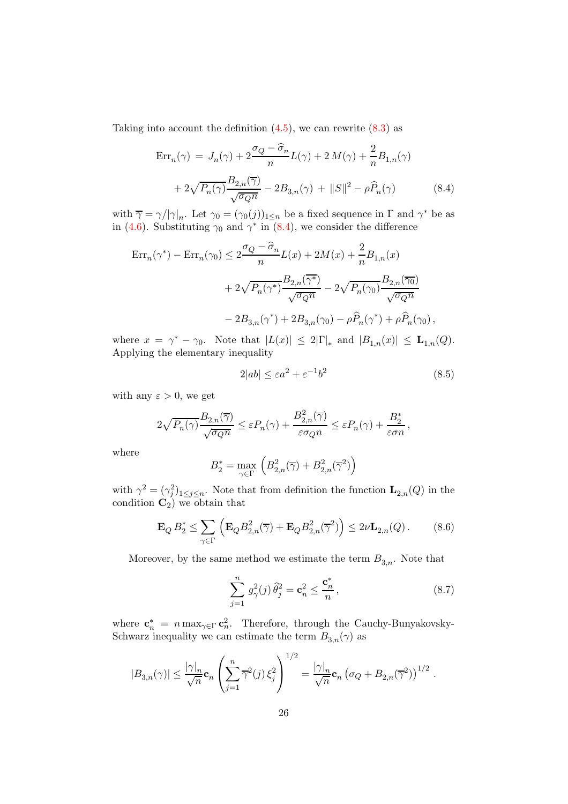Taking into account the definition  $(4.5)$ , we can rewrite  $(8.3)$  as

<span id="page-25-0"></span>
$$
\text{Err}_{n}(\gamma) = J_n(\gamma) + 2\frac{\sigma_Q - \hat{\sigma}_n}{n} L(\gamma) + 2M(\gamma) + \frac{2}{n} B_{1,n}(\gamma)
$$

$$
+ 2\sqrt{P_n(\gamma)} \frac{B_{2,n}(\overline{\gamma})}{\sqrt{\sigma_Q n}} - 2B_{3,n}(\gamma) + ||S||^2 - \rho \hat{P}_n(\gamma) \tag{8.4}
$$

with  $\overline{\gamma} = \gamma/|\gamma|_n$ . Let  $\gamma_0 = (\gamma_0(j))_{1 \le n}$  be a fixed sequence in  $\Gamma$  and  $\gamma^*$  be as in [\(4.6\)](#page-7-1). Substituting  $\gamma_0$  and  $\gamma^*$  in [\(8.4\)](#page-25-0), we consider the difference

$$
\begin{aligned} \text{Err}_{n}(\gamma^*) - \text{Err}_{n}(\gamma_0) &\le 2 \frac{\sigma_Q - \widehat{\sigma}_n}{n} L(x) + 2M(x) + \frac{2}{n} B_{1,n}(x) \\ &+ 2\sqrt{P_n(\gamma^*)} \frac{B_{2,n}(\overline{\gamma^*})}{\sqrt{\sigma_Q n}} - 2\sqrt{P_n(\gamma_0)} \frac{B_{2,n}(\overline{\gamma_0})}{\sqrt{\sigma_Q n}} \\ &- 2B_{3,n}(\gamma^*) + 2B_{3,n}(\gamma_0) - \rho \widehat{P}_n(\gamma^*) + \rho \widehat{P}_n(\gamma_0) \,, \end{aligned}
$$

where  $x = \gamma^* - \gamma_0$ . Note that  $|L(x)| \leq 2|\Gamma|_*$  and  $|B_{1,n}(x)| \leq \mathbf{L}_{1,n}(Q)$ . Applying the elementary inequality

<span id="page-25-1"></span>
$$
2|ab| \le \varepsilon a^2 + \varepsilon^{-1} b^2 \tag{8.5}
$$

with any  $\varepsilon > 0$ , we get

$$
2\sqrt{P_n(\gamma)}\frac{B_{2,n}(\overline{\gamma})}{\sqrt{\sigma_Q n}} \le \varepsilon P_n(\gamma) + \frac{B_{2,n}^2(\overline{\gamma})}{\varepsilon \sigma_Q n} \le \varepsilon P_n(\gamma) + \frac{B_2^*}{\varepsilon \sigma n},
$$

where

$$
B_2^*=\max_{\gamma\in\Gamma}~\Big(B_{2,n}^2(\overline\gamma)+B_{2,n}^2(\overline\gamma^2)\Big)
$$

with  $\gamma^2 = (\gamma_j^2)_{1 \leq j \leq n}$ . Note that from definition the function  $\mathbf{L}_{2,n}(Q)$  in the condition  $\mathbf{C}_2$ ) we obtain that

$$
\mathbf{E}_Q B_2^* \le \sum_{\gamma \in \Gamma} \left( \mathbf{E}_Q B_{2,n}^2(\overline{\gamma}) + \mathbf{E}_Q B_{2,n}^2(\overline{\gamma}^2) \right) \le 2\nu \mathbf{L}_{2,n}(Q). \tag{8.6}
$$

Moreover, by the same method we estimate the term  $B_{3,n}$ . Note that

<span id="page-25-2"></span>
$$
\sum_{j=1}^{n} g_{\gamma}^{2}(j) \widehat{\theta}_{j}^{2} = \mathbf{c}_{n}^{2} \le \frac{\mathbf{c}_{n}^{*}}{n}, \qquad (8.7)
$$

where  $\mathbf{c}_n^* = n \max_{\gamma \in \Gamma} \mathbf{c}_n^2$ . Therefore, through the Cauchy-Bunyakovsky-Schwarz inequality we can estimate the term  $B_{3,n}(\gamma)$  as

$$
|B_{3,n}(\gamma)| \leq \frac{|\gamma|_n}{\sqrt{n}} \mathbf{c}_n \left( \sum_{j=1}^n \overline{\gamma}^2(j) \, \xi_j^2 \right)^{1/2} = \frac{|\gamma|_n}{\sqrt{n}} \mathbf{c}_n \left( \sigma_Q + B_{2,n}(\overline{\gamma}^2) \right)^{1/2} \, .
$$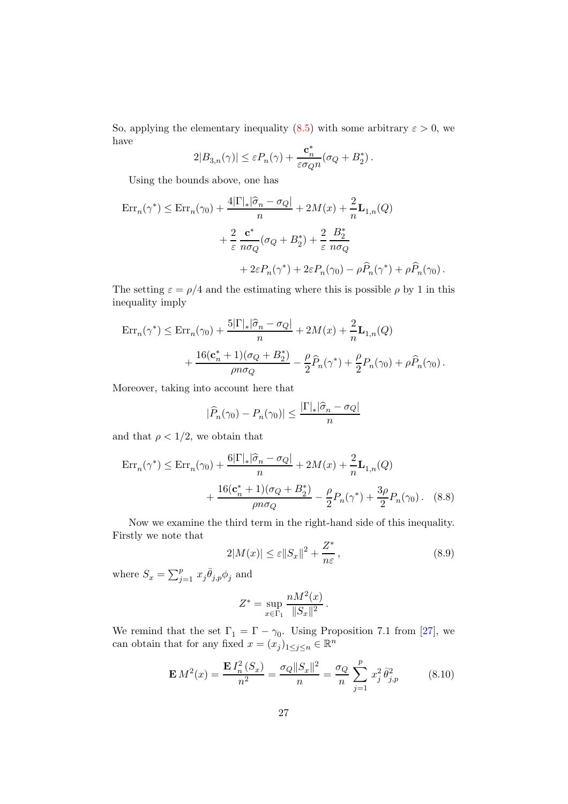So, applying the elementary inequality  $(8.5)$  with some arbitrary  $\varepsilon > 0$ , we have

$$
2|B_{3,n}(\gamma)| \le \varepsilon P_n(\gamma) + \frac{\mathbf{c}_n^*}{\varepsilon \sigma_Q n} (\sigma_Q + B_2^*).
$$

Using the bounds above, one has

$$
\begin{split} \text{Err}_{n}(\gamma^*) &\leq \text{Err}_{n}(\gamma_0) + \frac{4|\Gamma|_{*}|\widehat{\sigma}_n - \sigma_Q|}{n} + 2M(x) + \frac{2}{n}\mathbf{L}_{1,n}(Q) \\ &+ \frac{2}{\varepsilon} \frac{\mathbf{c}^*}{n\sigma_Q}(\sigma_Q + B_2^*) + \frac{2}{\varepsilon} \frac{B_2^*}{n\sigma_Q} \\ &+ 2\varepsilon P_n(\gamma^*) + 2\varepsilon P_n(\gamma_0) - \rho \widehat{P}_n(\gamma^*) + \rho \widehat{P}_n(\gamma_0) \,. \end{split}
$$

The setting  $\varepsilon = \rho/4$  and the estimating where this is possible  $\rho$  by 1 in this inequality imply

$$
\begin{split} \mathrm{Err}_n(\gamma^*) &\leq \mathrm{Err}_n(\gamma_0) + \frac{5|\Gamma|_*|\widehat{\sigma}_n - \sigma_Q|}{n} + 2M(x) + \frac{2}{n}\mathbf{L}_{1,n}(Q) \\ &+ \frac{16(\mathbf{c}_n^* + 1)(\sigma_Q + B_2^*)}{\rho n \sigma_Q} - \frac{\rho}{2}\widehat{P}_n(\gamma^*) + \frac{\rho}{2}P_n(\gamma_0) + \rho \widehat{P}_n(\gamma_0) \,. \end{split}
$$

Moreover, taking into account here that

$$
|\widehat{P}_n(\gamma_0) - P_n(\gamma_0)| \le \frac{|\Gamma|_*|\widehat{\sigma}_n - \sigma_Q|}{n}
$$

and that  $\rho < 1/2$ , we obtain that

$$
\text{Err}_{n}(\gamma^*) \le \text{Err}_{n}(\gamma_0) + \frac{6|\Gamma|_{*}|\hat{\sigma}_n - \sigma_Q|}{n} + 2M(x) + \frac{2}{n}\mathbf{L}_{1,n}(Q) + \frac{16(\mathbf{c}_n^* + 1)(\sigma_Q + B_2^*)}{\rho n \sigma_Q} - \frac{\rho}{2}P_n(\gamma^*) + \frac{3\rho}{2}P_n(\gamma_0). \quad (8.8)
$$

Now we examine the third term in the right-hand side of this inequality. Firstly we note that

<span id="page-26-1"></span><span id="page-26-0"></span>
$$
2|M(x)| \le \varepsilon ||S_x||^2 + \frac{Z^*}{n\varepsilon},\tag{8.9}
$$

where  $S_x = \sum_{j=1}^p x_j \overline{\theta}_{j,p} \phi_j$  and

$$
Z^* = \sup_{x \in \Gamma_1} \frac{n M^2(x)}{\|S_x\|^2}.
$$

We remind that the set  $\Gamma_1 = \Gamma - \gamma_0$ . Using Proposition 7.1 from [\[27](#page-37-3)], we can obtain that for any fixed  $x = (x_j)_{1 \le j \le n} \in \mathbb{R}^n$ 

$$
\mathbf{E} M^2(x) = \frac{\mathbf{E} I_n^2(S_x)}{n^2} = \frac{\sigma_Q ||S_x||^2}{n} = \frac{\sigma_Q}{n} \sum_{j=1}^p x_j^2 \bar{\theta}_{j,p}^2 \tag{8.10}
$$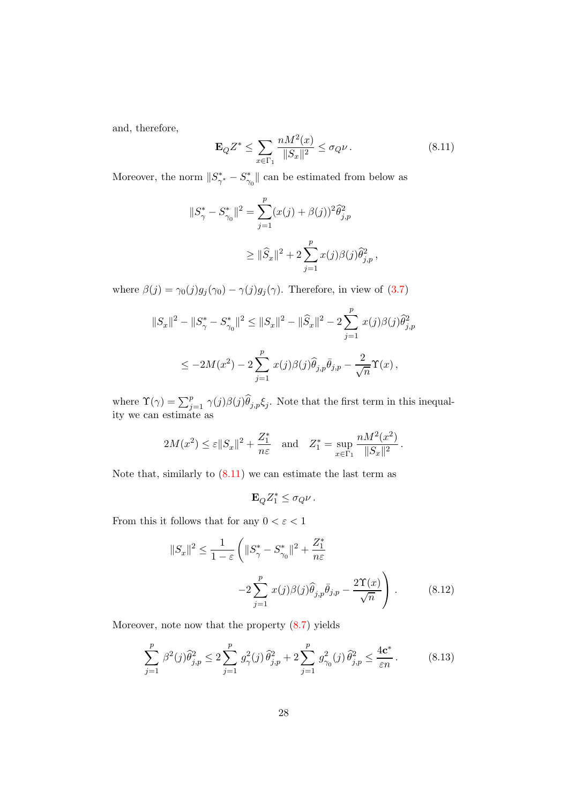and, therefore,

<span id="page-27-0"></span>
$$
\mathbf{E}_{Q}Z^{*} \le \sum_{x \in \Gamma_{1}} \frac{n M^{2}(x)}{\|S_{x}\|^{2}} \le \sigma_{Q} \nu.
$$
 (8.11)

Moreover, the norm  $||S^*_{\gamma^*} - S^*_{\gamma_0}||$  can be estimated from below as

$$
||S^*_{\gamma} - S^*_{\gamma_0}||^2 = \sum_{j=1}^p (x(j) + \beta(j))^2 \hat{\theta}_{j,p}^2
$$
  

$$
\geq ||\hat{S}_x||^2 + 2 \sum_{j=1}^p x(j)\beta(j)\hat{\theta}_{j,p}^2,
$$

where  $\beta(j) = \gamma_0(j)g_j(\gamma_0) - \gamma(j)g_j(\gamma)$ . Therefore, in view of [\(3.7\)](#page-5-0)

$$
||S_x||^2 - ||S^*_{\gamma} - S^*_{\gamma_0}||^2 \le ||S_x||^2 - ||\widehat{S}_x||^2 - 2\sum_{j=1}^p x(j)\beta(j)\widehat{\theta}_{j,p}^2
$$
  

$$
\le -2M(x^2) - 2\sum_{j=1}^p x(j)\beta(j)\widehat{\theta}_{j,p}\bar{\theta}_{j,p} - \frac{2}{\sqrt{n}}\Upsilon(x),
$$

where  $\Upsilon(\gamma) = \sum_{j=1}^p \gamma(j) \beta(j) \widehat{\theta}_{j,p} \xi_j$ . Note that the first term in this inequality we can estimate as

$$
2M(x^{2}) \leq \varepsilon ||S_{x}||^{2} + \frac{Z_{1}^{*}}{n\varepsilon} \quad \text{and} \quad Z_{1}^{*} = \sup_{x \in \Gamma_{1}} \frac{nM^{2}(x^{2})}{||S_{x}||^{2}}.
$$

Note that, similarly to  $(8.11)$  we can estimate the last term as

<span id="page-27-1"></span>
$$
\mathbf{E}_Q Z_1^* \leq \sigma_Q \nu \, .
$$

From this it follows that for any  $0 < \varepsilon < 1$ 

$$
||S_x||^2 \le \frac{1}{1-\varepsilon} \left( ||S^*_{\gamma} - S^*_{\gamma_0}||^2 + \frac{Z^*_{1}}{n\varepsilon} -2 \sum_{j=1}^p x(j)\beta(j)\widehat{\theta}_{j,p}\bar{\theta}_{j,p} - \frac{2\Upsilon(x)}{\sqrt{n}} \right). \tag{8.12}
$$

Moreover, note now that the property [\(8.7\)](#page-25-2) yields

<span id="page-27-2"></span>
$$
\sum_{j=1}^{p} \beta^2(j)\hat{\theta}_{j,p}^2 \le 2\sum_{j=1}^{p} g_{\gamma}^2(j)\hat{\theta}_{j,p}^2 + 2\sum_{j=1}^{p} g_{\gamma_0}^2(j)\hat{\theta}_{j,p}^2 \le \frac{4\mathbf{c}^*}{\varepsilon n}.
$$
 (8.13)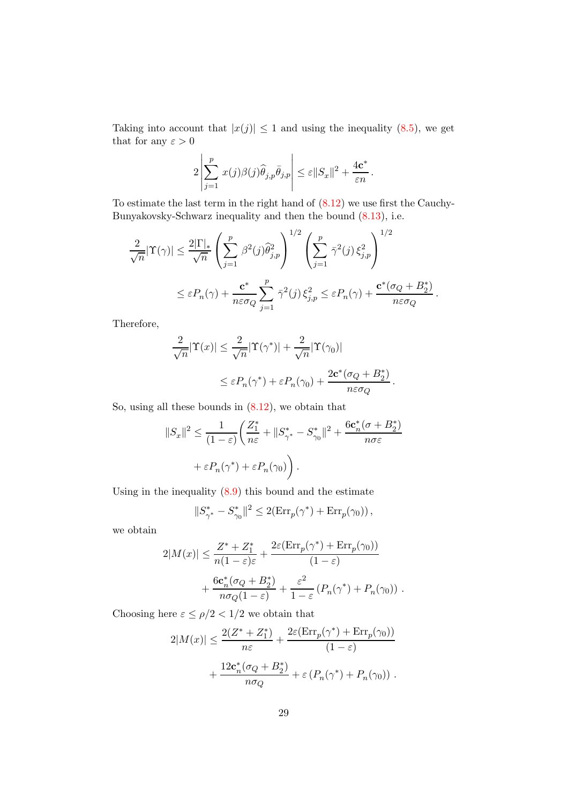Taking into account that  $|x(j)| \leq 1$  and using the inequality [\(8.5\)](#page-25-1), we get that for any  $\varepsilon > 0$ 

$$
2\left|\sum_{j=1}^p x(j)\beta(j)\widehat{\theta}_{j,p}\bar{\theta}_{j,p}\right| \leq \varepsilon ||S_x||^2 + \frac{4\mathbf{c}^*}{\varepsilon n}.
$$

To estimate the last term in the right hand of [\(8.12\)](#page-27-1) we use first the Cauchy-Bunyakovsky-Schwarz inequality and then the bound [\(8.13\)](#page-27-2), i.e.

$$
\frac{2}{\sqrt{n}}|\Upsilon(\gamma)| \leq \frac{2|\Gamma|_{*}}{\sqrt{n}} \left(\sum_{j=1}^{p} \beta^{2}(j)\widehat{\theta}_{j,p}^{2}\right)^{1/2} \left(\sum_{j=1}^{p} \bar{\gamma}^{2}(j)\xi_{j,p}^{2}\right)^{1/2}
$$

$$
\leq \varepsilon P_{n}(\gamma) + \frac{\mathbf{c}^{*}}{n\varepsilon\sigma_{Q}} \sum_{j=1}^{p} \bar{\gamma}^{2}(j)\xi_{j,p}^{2} \leq \varepsilon P_{n}(\gamma) + \frac{\mathbf{c}^{*}(\sigma_{Q} + B_{2}^{*})}{n\varepsilon\sigma_{Q}}
$$

.

Therefore,

$$
\frac{2}{\sqrt{n}}|\Upsilon(x)| \leq \frac{2}{\sqrt{n}}|\Upsilon(\gamma^*)| + \frac{2}{\sqrt{n}}|\Upsilon(\gamma_0)|
$$
  

$$
\leq \varepsilon P_n(\gamma^*) + \varepsilon P_n(\gamma_0) + \frac{2c^*(\sigma_Q + B_2^*)}{n\varepsilon \sigma_Q}.
$$

So, using all these bounds in [\(8.12\)](#page-27-1), we obtain that

$$
||S_x||^2 \le \frac{1}{(1-\varepsilon)} \left( \frac{Z_1^*}{n\varepsilon} + ||S_{\gamma^*}^* - S_{\gamma_0}^*||^2 + \frac{6c_n^*(\sigma + B_2^*)}{n\sigma\varepsilon} + \varepsilon P_n(\gamma^*) + \varepsilon P_n(\gamma_0) \right).
$$

Using in the inequality  $(8.9)$  this bound and the estimate

$$
\|S_{\gamma^\ast}^\ast-S_{\gamma_0}^\ast\|^2\leq 2({\rm Err}_p(\gamma^\ast)+{\rm Err}_p(\gamma_0))\,,
$$

we obtain

$$
2|M(x)| \leq \frac{Z^* + Z_1^*}{n(1 - \varepsilon)\varepsilon} + \frac{2\varepsilon(\text{Err}_p(\gamma^*) + \text{Err}_p(\gamma_0))}{(1 - \varepsilon)} + \frac{6\mathbf{c}_n^*(\sigma_Q + B_2^*)}{n\sigma_Q(1 - \varepsilon)} + \frac{\varepsilon^2}{1 - \varepsilon}(P_n(\gamma^*) + P_n(\gamma_0)).
$$

Choosing here  $\varepsilon \leq \rho/2 < 1/2$  we obtain that

$$
2|M(x)| \le \frac{2(Z^* + Z_1^*)}{n\varepsilon} + \frac{2\varepsilon(\text{Err}_p(\gamma^*) + \text{Err}_p(\gamma_0))}{(1 - \varepsilon)}
$$

$$
+ \frac{12\mathbf{c}_n^*(\sigma_Q + B_2^*)}{n\sigma_Q} + \varepsilon(P_n(\gamma^*) + P_n(\gamma_0)) .
$$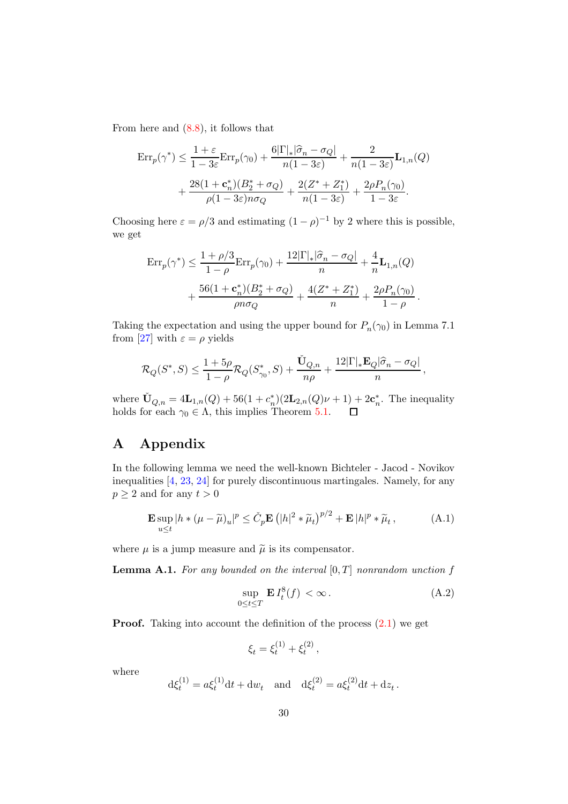From here and [\(8.8\)](#page-26-1), it follows that

$$
\begin{split} \mathrm{Err}_p(\gamma^*) &\leq \frac{1+\varepsilon}{1-3\varepsilon} \mathrm{Err}_p(\gamma_0) + \frac{6|\Gamma|_*|\widehat{\sigma}_n - \sigma_Q|}{n(1-3\varepsilon)} + \frac{2}{n(1-3\varepsilon)} \mathbf{L}_{1,n}(Q) \\ &+ \frac{28(1+\mathbf{c}_n^*)(B_2^* + \sigma_Q)}{\rho(1-3\varepsilon)n\sigma_Q} + \frac{2(Z^* + Z_1^*)}{n(1-3\varepsilon)} + \frac{2\rho P_n(\gamma_0)}{1-3\varepsilon}. \end{split}
$$

Choosing here  $\varepsilon = \rho/3$  and estimating  $(1 - \rho)^{-1}$  by 2 where this is possible, we get

$$
\begin{split} \mathrm{Err}_p(\gamma^*) &\leq \frac{1+\rho/3}{1-\rho} \mathrm{Err}_p(\gamma_0) + \frac{12|\Gamma|_*|\widehat{\sigma}_n - \sigma_Q|}{n} + \frac{4}{n} \mathbf{L}_{1,n}(Q) \\ &+ \frac{56(1+\mathbf{c}_n^*)(B_2^* + \sigma_Q)}{\rho n \sigma_Q} + \frac{4(Z^* + Z_1^*)}{n} + \frac{2\rho P_n(\gamma_0)}{1-\rho} \,. \end{split}
$$

Taking the expectation and using the upper bound for  $P_n(\gamma_0)$  in Lemma 7.1 from [\[27](#page-37-3)] with  $\varepsilon = \rho$  yields

$$
\mathcal{R}_Q(S^*,S) \le \frac{1+5\rho}{1-\rho}\mathcal{R}_Q(S^*_{\gamma_0},S) + \frac{\check{\mathbf{U}}_{Q,n}}{n\rho} + \frac{12|\Gamma|_*\mathbf{E}_Q|\widehat{\sigma}_n - \sigma_Q|}{n},
$$

where  $\check{\mathbf{U}}_{Q,n} = 4\mathbf{L}_{1,n}(Q) + 56(1+c_n^*)(2\mathbf{L}_{2,n}(Q)\nu+1) + 2\mathbf{c}_n^*$ . The inequality holds for each  $\gamma_0 \in \Lambda$ , this implies Theorem [5.1.](#page-9-4)

# <span id="page-29-1"></span>A Appendix

In the following lemma we need the well-known Bichteler - Jacod - Novikov inequalities [\[4](#page-35-10), [23,](#page-36-10) [24\]](#page-36-11) for purely discontinuous martingales. Namely, for any  $p \geq 2$  and for any  $t > 0$ 

<span id="page-29-0"></span>
$$
\mathbf{E} \sup_{u \le t} |h * (\mu - \widetilde{\mu})_u|^p \le \check{C}_p \mathbf{E} (|h|^2 * \widetilde{\mu}_t)^{p/2} + \mathbf{E} |h|^p * \widetilde{\mu}_t,
$$
 (A.1)

where  $\mu$  is a jump measure and  $\tilde{\mu}$  is its compensator.

<span id="page-29-3"></span>**Lemma A.1.** For any bounded on the interval  $[0, T]$  nonrandom unction f

<span id="page-29-2"></span>
$$
\sup_{0 \le t \le T} \mathbf{E} I_t^8(f) < \infty. \tag{A.2}
$$

**Proof.** Taking into account the definition of the process  $(2.1)$  we get

$$
\xi_t = \xi_t^{(1)} + \xi_t^{(2)},
$$

where

$$
d\xi_t^{(1)} = a\xi_t^{(1)}dt + dw_t \text{ and } d\xi_t^{(2)} = a\xi_t^{(2)}dt + dz_t.
$$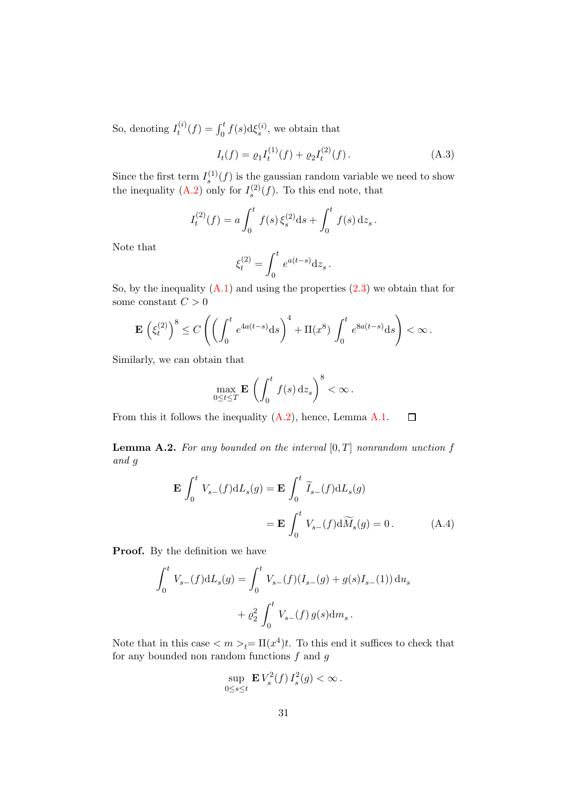So, denoting  $I_t^{(i)}$  $t_i^{(i)}(f) = \int_0^t f(s) \mathrm{d} \xi_s^{(i)}$ , we obtain that

<span id="page-30-1"></span>
$$
I_t(f) = \varrho_1 I_t^{(1)}(f) + \varrho_2 I_t^{(2)}(f).
$$
 (A.3)

Since the first term  $I_s^{(1)}(f)$  is the gaussian random variable we need to show the inequality  $(A.2)$  only for  $I_s^{(2)}(f)$ . To this end note, that

$$
I_t^{(2)}(f) = a \int_0^t f(s) \,\xi_s^{(2)} \mathrm{d}s + \int_0^t f(s) \,\mathrm{d}z_s.
$$

Note that

$$
\xi_t^{(2)} = \int_0^t e^{a(t-s)} \mathrm{d} z_s \,.
$$

So, by the inequality  $(A.1)$  and using the properties  $(2.3)$  we obtain that for some constant  $C > 0$ 

$$
\mathbf{E}\left(\xi_t^{(2)}\right)^8 \le C\left(\left(\int_0^t e^{4a(t-s)} \mathrm{d} s\right)^4 + \Pi(x^8) \int_0^t e^{8a(t-s)} \mathrm{d} s\right) < \infty.
$$

Similarly, we can obtain that

<span id="page-30-0"></span>
$$
\max_{0\leq t\leq T} \mathbf{E} \left( \int_0^t f(s) \, \mathrm{d}z_s \right)^8 < \infty \, .
$$

From this it follows the inequality  $(A.2)$ , hence, Lemma [A.1.](#page-29-3)  $\Box$ 

<span id="page-30-2"></span>**Lemma A.2.** For any bounded on the interval  $[0, T]$  nonrandom unction f and g

$$
\mathbf{E} \int_0^t V_{s-}(f) dL_s(g) = \mathbf{E} \int_0^t \widetilde{I}_{s-}(f) dL_s(g)
$$

$$
= \mathbf{E} \int_0^t V_{s-}(f) d\widetilde{M}_s(g) = 0.
$$
(A.4)

**Proof.** By the definition we have

$$
\int_0^t V_{s-}(f) dL_s(g) = \int_0^t V_{s-}(f)(I_{s-}(g) + g(s)I_{s-}(1)) du_s
$$
  
+  $\varrho_2^2 \int_0^t V_{s-}(f) g(s) dm_s.$ 

Note that in this case  $\langle m \rangle_t = \Pi(x^4)t$ . To this end it suffices to check that for any bounded non random functions  $f$  and  $g$ 

$$
\sup_{0\leq s\leq t} \mathbf{E} V_s^2(f) I_s^2(g) < \infty.
$$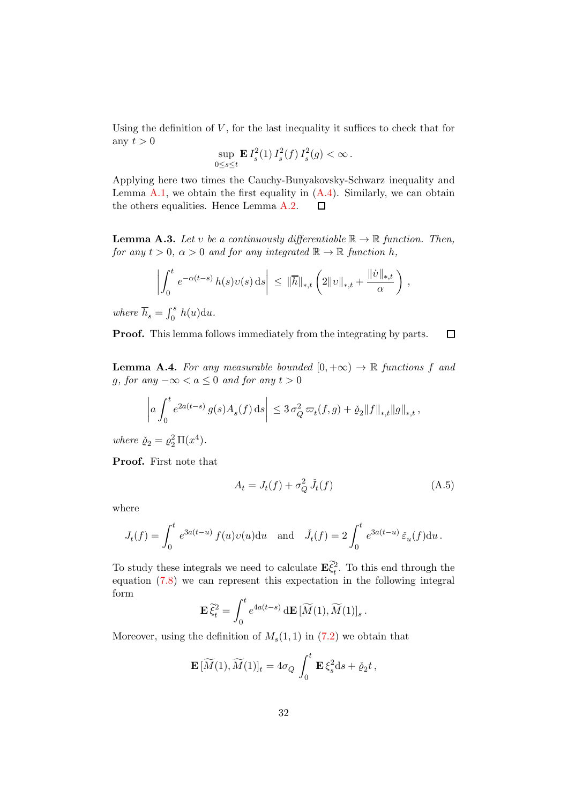Using the definition of  $V$ , for the last inequality it suffices to check that for any  $t > 0$ 

$$
\sup_{0 \le s \le t} \mathbf{E} \, I_s^2(1) \, I_s^2(f) \, I_s^2(g) < \infty \, .
$$

Applying here two times the Cauchy-Bunyakovsky-Schwarz inequality and Lemma [A.1,](#page-29-3) we obtain the first equality in  $(A.4)$ . Similarly, we can obtain the others equalities. Hence Lemma [A.2.](#page-30-2)  $\Box$ 

<span id="page-31-2"></span>**Lemma A.3.** Let v be a continuously differentiable  $\mathbb{R} \to \mathbb{R}$  function. Then, for any  $t > 0$ ,  $\alpha > 0$  and for any integrated  $\mathbb{R} \to \mathbb{R}$  function h,

$$
\left| \int_0^t e^{-\alpha(t-s)} h(s) v(s) \, ds \right| \leq \|\overline{h}\|_{*,t} \left( 2\|v\|_{*,t} + \frac{\|v\|_{*,t}}{\alpha} \right),
$$

where  $\overline{h}_s = \int_0^s h(u) \mathrm{d}u$ .

Proof. This lemma follows immediately from the integrating by parts.  $\Box$ 

<span id="page-31-1"></span>**Lemma A.4.** For any measurable bounded  $[0, +\infty) \to \mathbb{R}$  functions f and g, for any  $-\infty < a \leq 0$  and for any  $t > 0$ 

$$
\left| a \int_0^t e^{2a(t-s)} g(s) A_s(f) ds \right| \leq 3 \sigma_Q^2 \, \varpi_t(f,g) + \check{\varrho}_2 \|f\|_{*,t} \|g\|_{*,t} \,,
$$

where  $\check{\varrho}_2 = \varrho_2^2 \Pi(x^4)$ .

Proof. First note that

<span id="page-31-0"></span>
$$
A_t = J_t(f) + \sigma_Q^2 \,\check{J}_t(f) \tag{A.5}
$$

where

$$
J_t(f) = \int_0^t e^{3a(t-u)} f(u)v(u) \mathrm{d}u \text{ and } \tilde{J}_t(f) = 2 \int_0^t e^{3a(t-u)} \tilde{\varepsilon}_u(f) \mathrm{d}u.
$$

To study these integrals we need to calculate  $\mathbf{E}\xi_t^2$ . To this end through the equation [\(7.8\)](#page-15-3) we can represent this expectation in the following integral form

$$
\mathbf{E}\,\widetilde{\xi}_t^2 = \int_0^t e^{4a(t-s)} \,\mathrm{d}\mathbf{E}\,[\widetilde{M}(1),\widetilde{M}(1)]_s.
$$

Moreover, using the definition of  $M_s(1,1)$  in  $(7.2)$  we obtain that

$$
\mathbf{E}[\widetilde{M}(1),\widetilde{M}(1)]_t = 4\sigma_Q \int_0^t \mathbf{E} \xi_s^2 \mathrm{d} s + \check{\varrho}_2 t,
$$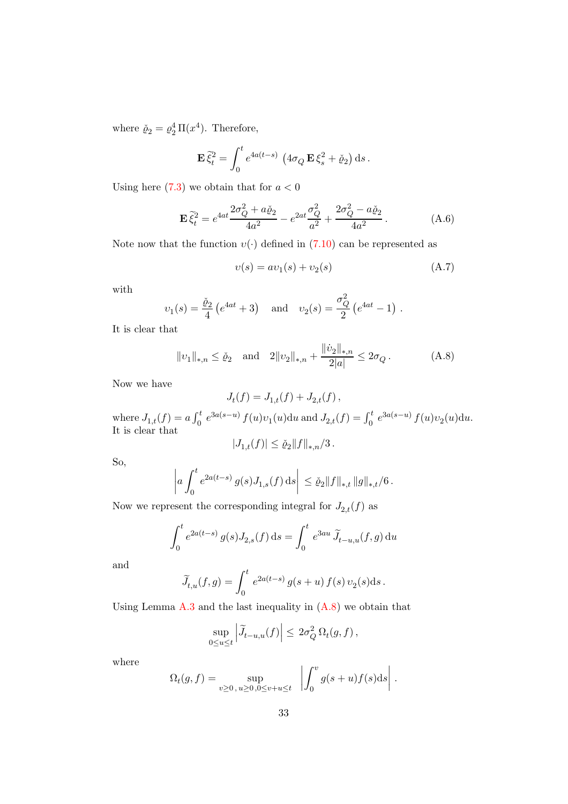where  $\check{\varrho}_2 = \varrho_2^4 \Pi(x^4)$ . Therefore,

$$
\mathbf{E}\,\tilde{\xi}_t^2 = \int_0^t e^{4a(t-s)} \, \left(4\sigma_Q \,\mathbf{E}\,\xi_s^2 + \check{\varrho}_2\right) \mathrm{d}s.
$$

Using here  $(7.3)$  we obtain that for  $a < 0$ 

<span id="page-32-0"></span>
$$
\mathbf{E}\,\tilde{\xi}_t^2 = e^{4at}\frac{2\sigma_Q^2 + a\check{\varrho}_2}{4a^2} - e^{2at}\frac{\sigma_Q^2}{a^2} + \frac{2\sigma_Q^2 - a\check{\varrho}_2}{4a^2} \,. \tag{A.6}
$$

Note now that the function  $v(\cdot)$  defined in [\(7.10\)](#page-15-1) can be represented as

$$
v(s) = av_1(s) + v_2(s)
$$
 (A.7)

with

$$
v_1(s) = \frac{\check{\varrho}_2}{4} (e^{4at} + 3)
$$
 and  $v_2(s) = \frac{\sigma_Q^2}{2} (e^{4at} - 1)$ .

It is clear that

<span id="page-32-1"></span>
$$
||v_1||_{*,n} \le \check{\varrho}_2
$$
 and  $2||v_2||_{*,n} + \frac{||\dot{v}_2||_{*,n}}{2|a|} \le 2\sigma_Q$ . (A.8)

Now we have

$$
J_t(f) = J_{1,t}(f) + J_{2,t}(f) \,,
$$

where  $J_{1,t}(f) = a \int_0^t e^{3a(s-u)} f(u)v_1(u) \, du$  and  $J_{2,t}(f) = \int_0^t e^{3a(s-u)} f(u)v_2(u) \, du$ . It is clear that

$$
|J_{1,t}(f)| \le \check{\varrho}_2 \|f\|_{*,n} / 3 \, .
$$

So,

$$
\left| a \int_0^t e^{2a(t-s)} g(s) J_{1,s}(f) ds \right| \leq \check{\varrho}_2 \|f\|_{*,t} \|g\|_{*,t}/6.
$$

Now we represent the corresponding integral for  ${\cal J}_{2,t}(f)$  as

$$
\int_0^t e^{2a(t-s)} g(s) J_{2,s}(f) ds = \int_0^t e^{3au} \widetilde{J}_{t-u,u}(f,g) du
$$

and

$$
\widetilde{J}_{t,u}(f,g) = \int_0^t e^{2a(t-s)} g(s+u) f(s) \, v_2(s) \mathrm{d} s \, .
$$

Using Lemma  $A.3$  and the last inequality in  $(A.8)$  we obtain that

$$
\sup_{0\leq u\leq t} \left| \widetilde J_{t-u,u}(f) \right| \leq 2\sigma_Q^2 \Omega_t(g,f)\,,
$$

where

$$
\Omega_t(g, f) = \sup_{v \ge 0, u \ge 0, 0 \le v + u \le t} \left| \int_0^v g(s+u)f(s)ds \right|.
$$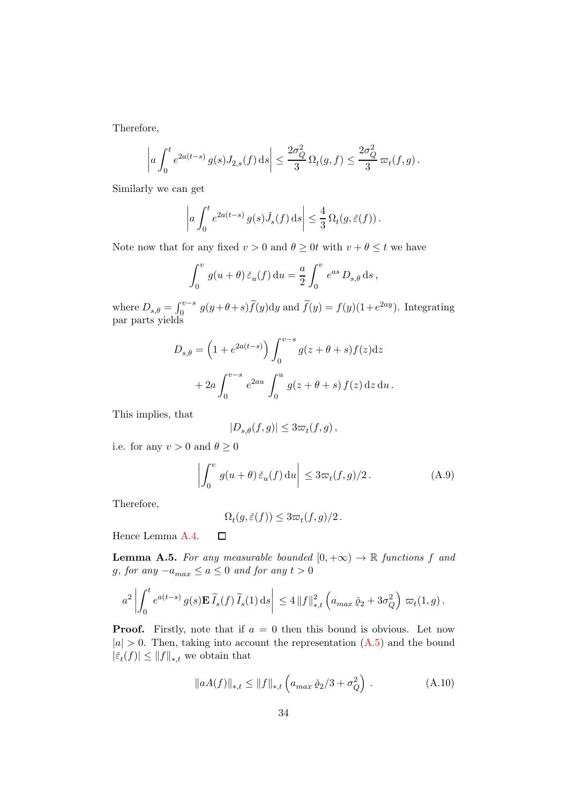Therefore,

$$
\left| a \int_0^t e^{2a(t-s)} g(s) J_{2,s}(f) ds \right| \leq \frac{2\sigma_Q^2}{3} \Omega_t(g,f) \leq \frac{2\sigma_Q^2}{3} \varpi_t(f,g).
$$

Similarly we can get

$$
\left| a \int_0^t e^{2a(t-s)} g(s) \check{J}_s(f) \, ds \right| \leq \frac{4}{3} \Omega_t(g, \check{\varepsilon}(f)).
$$

Note now that for any fixed  $v > 0$  and  $\theta \ge 0$ t with  $v + \theta \le t$  we have

$$
\int_0^v g(u+\theta) \, \check{\varepsilon}_u(f) \, \mathrm{d}u = \frac{a}{2} \int_0^v e^{as} \, D_{s,\theta} \, \mathrm{d}s \,,
$$

where  $D_{s,\theta} = \int_0^{v-s} g(y+\theta+s)\tilde{f}(y)dy$  and  $\tilde{f}(y) = f(y)(1+e^{2ay})$ . Integrating par parts yields

$$
D_{s,\theta} = \left(1 + e^{2a(t-s)}\right) \int_0^{v-s} g(z+\theta+s) f(z) dz
$$

$$
+ 2a \int_0^{v-s} e^{2au} \int_0^u g(z+\theta+s) f(z) dz du.
$$

This implies, that

$$
|D_{s,\theta}(f,g)|\leq 3\varpi_t(f,g)\,,
$$

i.e. for any  $v > 0$  and  $\theta \ge 0$ 

<span id="page-33-1"></span>
$$
\left| \int_0^v g(u+\theta) \, \check{\varepsilon}_u(f) \, \mathrm{d}u \right| \leq 3\varpi_t(f,g)/2. \tag{A.9}
$$

Therefore,

$$
\Omega_t(g, \check{\varepsilon}(f)) \leq 3\varpi_t(f, g)/2.
$$

Hence Lemma [A.4.](#page-31-1)  $\Box$ 

<span id="page-33-0"></span>**Lemma A.5.** For any measurable bounded  $[0, +\infty) \rightarrow \mathbb{R}$  functions f and g, for any  $-a_{max} \le a \le 0$  and for any  $t > 0$ 

$$
a^2 \left| \int_0^t e^{a(t-s)} g(s) \mathbf{E} \, \widetilde{I}_s(f) \, \widetilde{I}_s(1) \, ds \right| \leq 4 \left\| f \right\|_{*,t}^2 \left( a_{max} \, \check{\varrho}_2 + 3 \sigma_Q^2 \right) \, \varpi_t(1, g) \, .
$$

**Proof.** Firstly, note that if  $a = 0$  then this bound is obvious. Let now  $|a| > 0$ . Then, taking into account the representation  $(A.5)$  and the bound  $|\tilde{\varepsilon}_t(f)| \leq ||f||_{*,t}$  we obtain that

$$
||aA(f)||_{*,t} \le ||f||_{*,t} \left( a_{max} \, \check{\varrho}_2 / 3 + \sigma_Q^2 \right) \,. \tag{A.10}
$$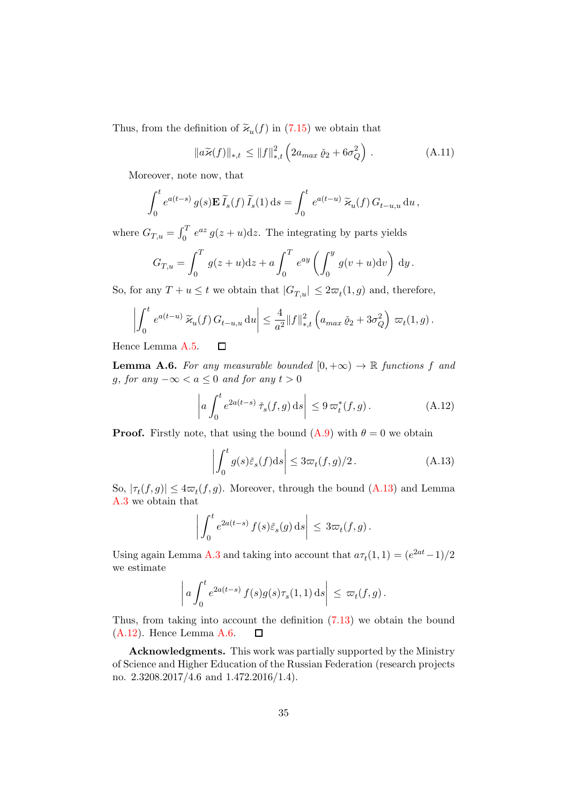Thus, from the definition of  $\widetilde{\varkappa}_u(f)$  in [\(7.15\)](#page-16-0) we obtain that

$$
\|a\widetilde{\varkappa}(f)\|_{*,t} \le \|f\|_{*,t}^2 \left(2a_{max}\,\check{\varrho}_2 + 6\sigma_Q^2\right) \,. \tag{A.11}
$$

Moreover, note now, that

$$
\int_0^t e^{a(t-s)} g(s) \mathbf{E} \, \widetilde{I}_s(f) \, \widetilde{I}_s(1) \, \mathrm{d} s = \int_0^t e^{a(t-u)} \, \widetilde{\varkappa}_u(f) \, G_{t-u,u} \, \mathrm{d} u \, ,
$$

where  $G_{T,u} = \int_0^T e^{az} g(z+u) dz$ . The integrating by parts yields

$$
G_{T,u} = \int_0^T g(z+u)dz + a \int_0^T e^{ay} \left( \int_0^y g(v+u)dv \right) dy.
$$

So, for any  $T + u \leq t$  we obtain that  $|G_{T,u}| \leq 2\varpi_t(1,g)$  and, therefore,

$$
\left| \int_0^t e^{a(t-u)} \widetilde{\varkappa}_u(f) G_{t-u,u} \, \mathrm{d}u \right| \leq \frac{4}{a^2} ||f||_{*,t}^2 \left( a_{max} \, \check{\varrho}_2 + 3\sigma_Q^2 \right) \, \varpi_t(1,g) \, .
$$

Hence Lemma [A.5.](#page-33-0)  $\Box$ 

<span id="page-34-0"></span>**Lemma A.6.** For any measurable bounded  $[0, +\infty) \rightarrow \mathbb{R}$  functions f and g, for any  $-\infty < a \leq 0$  and for any  $t > 0$ 

<span id="page-34-2"></span>
$$
\left| a \int_0^t e^{2a(t-s)} \, \check{\tau}_s(f,g) \, ds \right| \leq 9 \, \varpi_t^*(f,g). \tag{A.12}
$$

**Proof.** Firstly note, that using the bound  $(A.9)$  with  $\theta = 0$  we obtain

<span id="page-34-1"></span>
$$
\left| \int_0^t g(s)\check{\varepsilon}_s(f)ds \right| \le 3\varpi_t(f,g)/2. \tag{A.13}
$$

So,  $|\tau_t(f,g)| \leq 4\varpi_t(f,g)$ . Moreover, through the bound  $(A.13)$  and Lemma [A.3](#page-31-2) we obtain that

$$
\bigg|\int_0^t e^{2a(t-s)} f(s)\check{\varepsilon}_s(g)\,\mathrm{d} s\bigg| \, \leq \, 3\varpi_t(f,g)\,.
$$

Using again Lemma [A.3](#page-31-2) and taking into account that  $a\tau_t(1,1) = (e^{2at}-1)/2$ we estimate

$$
\left| a \int_0^t e^{2a(t-s)} f(s)g(s)\tau_s(1,1) ds \right| \leq \varpi_t(f,g).
$$

Thus, from taking into account the definition [\(7.13\)](#page-15-0) we obtain the bound [\(A.12\)](#page-34-2). Hence Lemma [A.6.](#page-34-0)  $\Box$ 

Acknowledgments. This work was partially supported by the Ministry of Science and Higher Education of the Russian Federation (research projects no. 2.3208.2017/4.6 and 1.472.2016/1.4).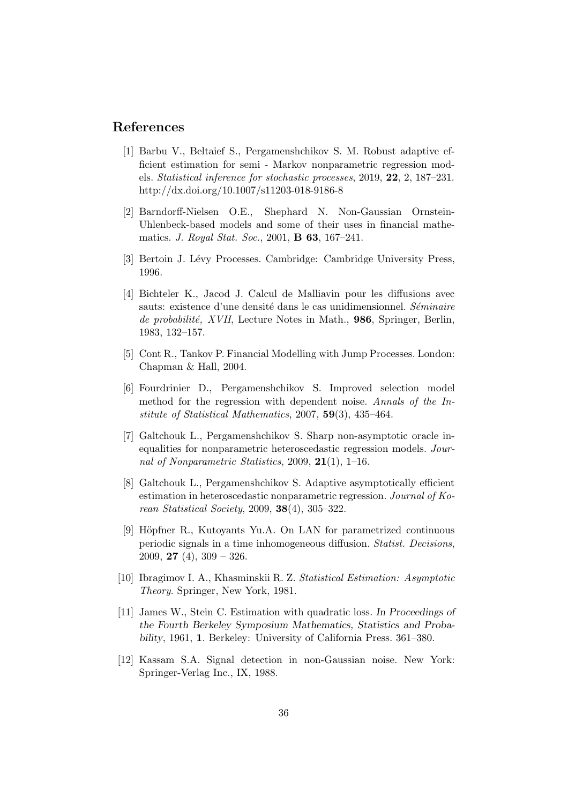# References

- <span id="page-35-3"></span>[1] Barbu V., Beltaief S., Pergamenshchikov S. M. Robust adaptive efficient estimation for semi - Markov nonparametric regression models. Statistical inference for stochastic processes, 2019, 22, 2, 187–231. http://dx.doi.org/10.1007/s11203-018-9186-8
- <span id="page-35-6"></span>[2] Barndorff-Nielsen O.E., Shephard N. Non-Gaussian Ornstein-Uhlenbeck-based models and some of their uses in financial mathematics. J. Royal Stat. Soc., 2001, B 63, 167–241.
- [3] Bertoin J. Lévy Processes. Cambridge: Cambridge University Press, 1996.
- <span id="page-35-10"></span>[4] Bichteler K., Jacod J. Calcul de Malliavin pour les diffusions avec sauts: existence d'une densité dans le cas unidimensionnel. Séminaire de probabilité, XVII, Lecture Notes in Math., 986, Springer, Berlin, 1983, 132–157.
- <span id="page-35-7"></span>[5] Cont R., Tankov P. Financial Modelling with Jump Processes. London: Chapman & Hall, 2004.
- <span id="page-35-4"></span>[6] Fourdrinier D., Pergamenshchikov S. Improved selection model method for the regression with dependent noise. Annals of the Institute of Statistical Mathematics, 2007, 59(3), 435–464.
- <span id="page-35-8"></span>[7] Galtchouk L., Pergamenshchikov S. Sharp non-asymptotic oracle inequalities for nonparametric heteroscedastic regression models. Journal of Nonparametric Statistics, 2009,  $21(1)$ , 1–16.
- <span id="page-35-9"></span>[8] Galtchouk L., Pergamenshchikov S. Adaptive asymptotically efficient estimation in heteroscedastic nonparametric regression. Journal of Korean Statistical Society, 2009, 38(4), 305–322.
- <span id="page-35-1"></span>[9] Höpfner R., Kutoyants Yu.A. On LAN for parametrized continuous periodic signals in a time inhomogeneous diffusion. Statist. Decisions, 2009, **27** (4),  $309 - 326$ .
- <span id="page-35-0"></span>[10] Ibragimov I. A., Khasminskii R. Z. Statistical Estimation: Asymptotic Theory. Springer, New York, 1981.
- <span id="page-35-5"></span>[11] James W., Stein C. Estimation with quadratic loss. *In Proceedings of the Fourth Berkeley Symposium Mathematics, Statistics and Probability*, 1961, 1. Berkeley: University of California Press. 361–380.
- <span id="page-35-2"></span>[12] Kassam S.A. Signal detection in non-Gaussian noise. New York: Springer-Verlag Inc., IX, 1988.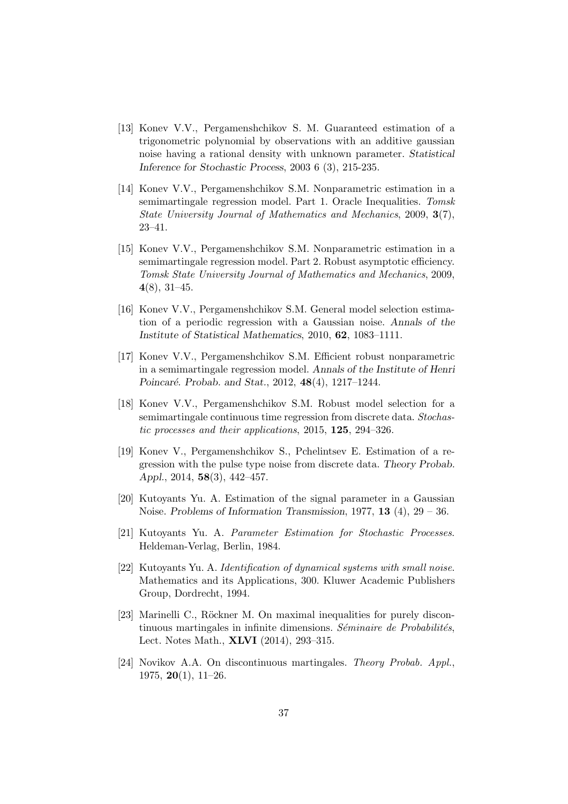- <span id="page-36-3"></span>[13] Konev V.V., Pergamenshchikov S. M. Guaranteed estimation of a trigonometric polynomial by observations with an additive gaussian noise having a rational density with unknown parameter. *Statistical Inference for Stochastic Process*, 2003 6 (3), 215-235.
- <span id="page-36-8"></span>[14] Konev V.V., Pergamenshchikov S.M. Nonparametric estimation in a semimartingale regression model. Part 1. Oracle Inequalities. Tomsk State University Journal of Mathematics and Mechanics, 2009, 3(7), 23–41.
- <span id="page-36-9"></span>[15] Konev V.V., Pergamenshchikov S.M. Nonparametric estimation in a semimartingale regression model. Part 2. Robust asymptotic efficiency. Tomsk State University Journal of Mathematics and Mechanics, 2009, 4(8), 31–45.
- <span id="page-36-4"></span>[16] Konev V.V., Pergamenshchikov S.M. General model selection estimation of a periodic regression with a Gaussian noise. *Annals of the Institute of Statistical Mathematics*, 2010, 62, 1083–1111.
- <span id="page-36-6"></span>[17] Konev V.V., Pergamenshchikov S.M. Efficient robust nonparametric in a semimartingale regression model. *Annals of the Institute of Henri Poincar´e. Probab. and Stat.*, 2012, 48(4), 1217–1244.
- <span id="page-36-7"></span>[18] Konev V.V., Pergamenshchikov S.M. Robust model selection for a semimartingale continuous time regression from discrete data. Stochastic processes and their applications, 2015, 125, 294–326.
- <span id="page-36-5"></span>[19] Konev V., Pergamenshchikov S., Pchelintsev E. Estimation of a regression with the pulse type noise from discrete data. *Theory Probab. Appl.*, 2014, 58(3), 442–457.
- <span id="page-36-0"></span>[20] Kutoyants Yu. A. Estimation of the signal parameter in a Gaussian Noise. *Problems of Information Transmission*, 1977, 13 (4), 29 – 36.
- <span id="page-36-1"></span>[21] Kutoyants Yu. A. Parameter Estimation for Stochastic Processes. Heldeman-Verlag, Berlin, 1984.
- <span id="page-36-2"></span>[22] Kutoyants Yu. A. Identification of dynamical systems with small noise. Mathematics and its Applications, 300. Kluwer Academic Publishers Group, Dordrecht, 1994.
- <span id="page-36-10"></span>[23] Marinelli C., Röckner M. On maximal inequalities for purely discontinuous martingales in infinite dimensions. Séminaire de Probabilités, Lect. Notes Math., XLVI (2014), 293–315.
- <span id="page-36-11"></span>[24] Novikov A.A. On discontinuous martingales. Theory Probab. Appl., 1975, **20**(1),  $11-26$ .